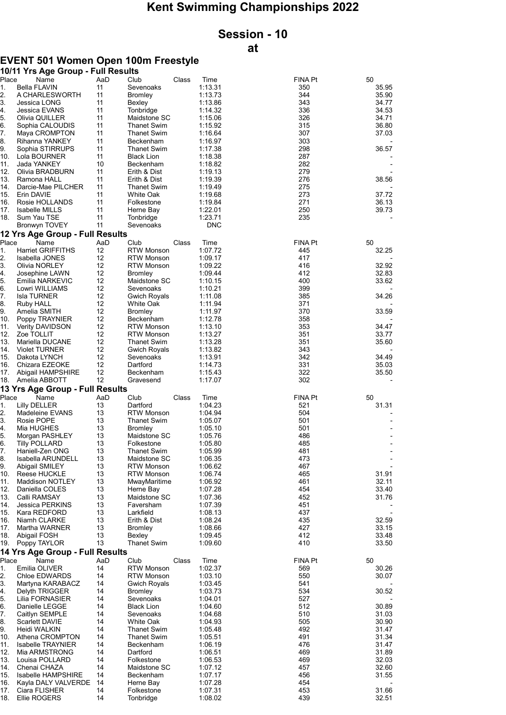## Kent Swimming Championships 2022

## Session - 10

## at

## EVENT 501 Women Open 100m Freestyle

|            | 10/11 Yrs Age Group - Full Results    |          |                                         |       |                    |                |                |
|------------|---------------------------------------|----------|-----------------------------------------|-------|--------------------|----------------|----------------|
| Place      | Name                                  | AaD      | Club                                    | Class | Time               | <b>FINA Pt</b> | 50             |
| 1.<br>2.   | <b>Bella FLAVIN</b><br>A CHARLESWORTH | 11<br>11 | Sevenoaks<br><b>Bromley</b>             |       | 1:13.31<br>1:13.73 | 350<br>344     | 35.95<br>35.90 |
| 3.         | Jessica LONG                          | 11       | Bexley                                  |       | 1:13.86            | 343            | 34.77          |
| 4.         | Jessica EVANS                         | 11       | Tonbridge                               |       | 1:14.32            | 336            | 34.53          |
| 5.         | Olivia QUILLER                        | 11       | Maidstone SC                            |       | 1:15.06            | 326            | 34.71          |
| 6.         | Sophia CALOUDIS                       | 11       | <b>Thanet Swim</b>                      |       | 1:15.92            | 315            | 36.80          |
| 7.         | Maya CROMPTON                         | 11       | <b>Thanet Swim</b>                      |       | 1:16.64            | 307            | 37.03          |
| 8.         | Rihanna YANKEY                        | 11       | Beckenham                               |       | 1:16.97            | 303            |                |
| 9.         | Sophia STIRRUPS                       | 11       | <b>Thanet Swim</b>                      |       | 1:17.38            | 298            | 36.57          |
| 10.        | Lola BOURNER                          | 11       | <b>Black Lion</b>                       |       | 1:18.38            | 287            |                |
| 11.<br>12. | Jada YANKEY<br>Olivia BRADBURN        | 10<br>11 | Beckenham<br>Erith & Dist               |       | 1:18.82<br>1:19.13 | 282<br>279     |                |
| 13.        | Ramona HALL                           | 11       | Erith & Dist                            |       | 1:19.39            | 276            | 38.56          |
| 14.        | Darcie-Mae PILCHER                    | 11       | <b>Thanet Swim</b>                      |       | 1:19.49            | 275            |                |
| 15.        | Erin DAVIE                            | 11       | White Oak                               |       | 1:19.68            | 273            | 37.72          |
| 16.        | Rosie HOLLANDS                        | 11       | Folkestone                              |       | 1:19.84            | 271            | 36.13          |
| 17.        | <b>Isabelle MILLS</b>                 | 11       | Herne Bay                               |       | 1:22.01            | 250            | 39.73          |
| 18.        | Sum Yau TSE                           | 11       | Tonbridge                               |       | 1:23.71            | 235            |                |
|            | <b>Bronwyn TOVEY</b>                  | 11       | Sevenoaks                               |       | <b>DNC</b>         |                |                |
|            | 12 Yrs Age Group - Full Results       |          |                                         |       |                    |                |                |
| Place      | Name                                  | AaD      | Club                                    | Class | Time               | FINA Pt        | 50             |
| 1.         | <b>Harriet GRIFFITHS</b>              | 12       | <b>RTW Monson</b>                       |       | 1:07.72            | 445            | 32.25          |
| 2.<br>3.   | Isabella JONES<br>Olivia NORLEY       | 12<br>12 | <b>RTW Monson</b><br><b>RTW Monson</b>  |       | 1:09.17<br>1:09.22 | 417<br>416     | 32.92          |
| 4.         | Josephine LAWN                        | 12       | <b>Bromley</b>                          |       | 1:09.44            | 412            | 32.83          |
| 5.         | Emilia NARKEVIC                       | 12       | Maidstone SC                            |       | 1:10.15            | 400            | 33.62          |
| 6.         | Lowri WILLIAMS                        | 12       | Sevenoaks                               |       | 1:10.21            | 399            |                |
| 7.         | <b>Isla TURNER</b>                    | 12       | <b>Gwich Royals</b>                     |       | 1:11.08            | 385            | 34.26          |
| 8.         | Ruby HALL                             | 12       | White Oak                               |       | 1:11.94            | 371            |                |
| 9.         | Amelia SMITH                          | 12       | <b>Bromley</b>                          |       | 1:11.97            | 370            | 33.59          |
| 10.        | Poppy TRAYNIER                        | 12       | Beckenham                               |       | 1:12.78            | 358            |                |
| 11.        | Verity DAVIDSON                       | 12       | <b>RTW Monson</b>                       |       | 1:13.10            | 353            | 34.47          |
| 12.<br>13. | Zoe TOLLIT<br>Mariella DUCANE         | 12<br>12 | <b>RTW Monson</b><br><b>Thanet Swim</b> |       | 1:13.27            | 351<br>351     | 33.77<br>35.60 |
| 14.        | <b>Violet TURNER</b>                  | 12       | <b>Gwich Royals</b>                     |       | 1:13.28<br>1:13.82 | 343            |                |
| 15.        | Dakota LYNCH                          | 12       | Sevenoaks                               |       | 1:13.91            | 342            | 34.49          |
| 16.        | Chizara EZEOKE                        | 12       | Dartford                                |       | 1:14.73            | 331            | 35.03          |
| 17.        | Abigail HAMPSHIRE                     | 12       | Beckenham                               |       | 1:15.43            | 322            | 35.50          |
| 18.        | Amelia ABBOTT                         | 12       | Gravesend                               |       | 1:17.07            | 302            |                |
|            | 13 Yrs Age Group - Full Results       |          |                                         |       |                    |                |                |
| Place      | Name                                  | AaD      | Club                                    | Class | Time               | FINA Pt        | 50             |
| 1.         | Lilly DELLER                          | 13       | Dartford                                |       | 1:04.23            | 521            | 31.31          |
| 2.         | Madeleine EVANS                       | 13       | <b>RTW Monson</b>                       |       | 1:04.94            | 504            |                |
| 3.<br>4.   | Rosie POPE<br>Mia HUGHES              | 13<br>13 | <b>Thanet Swim</b><br><b>Bromley</b>    |       | 1:05.07<br>1:05.10 | 501<br>501     |                |
| 5.         | Morgan PASHLEY                        | 13       | Maidstone SC                            |       | 1:05.76            | 486            |                |
| 6.         | <b>Tilly POLLARD</b>                  | 13       | Folkestone                              |       | 1:05.80            | 485            |                |
| 7.         | Haniell-Zen ONG                       | 13       | Thanet Swim                             |       | 1:05.99            | 481            |                |
| 8.         | Isabella ARUNDELL                     | 13       | Maidstone SC                            |       | 1:06.35            | 473            |                |
| 9.         | Abigail SMILEY                        | 13       | <b>RTW Monson</b>                       |       | 1:06.62            | 467            |                |
| 10.        | Reese HUCKLE                          | 13       | <b>RTW Monson</b>                       |       | 1:06.74            | 465            | 31.91          |
| 11.        | <b>Maddison NOTLEY</b>                | 13       | MwayMaritime                            |       | 1:06.92            | 461            | 32.11          |
| 12.        | Daniella COLES                        | 13       | Herne Bay                               |       | 1:07.28            | 454            | 33.40          |
| 13.<br>14. | Calli RAMSAY<br>Jessica PERKINS       | 13<br>13 | Maidstone SC<br>Faversham               |       | 1:07.36<br>1:07.39 | 452<br>451     | 31.76          |
| 15.        | Kara REDFORD                          | 13       | Larkfield                               |       | 1:08.13            | 437            |                |
| 16.        | Niamh CLARKE                          | 13       | Erith & Dist                            |       | 1:08.24            | 435            | 32.59          |
| 17.        | Martha WARNER                         | 13       | <b>Bromley</b>                          |       | 1:08.66            | 427            | 33.15          |
| 18.        | Abigail FOSH                          | 13       | Bexley                                  |       | 1:09.45            | 412            | 33.48          |
| 19.        | Poppy TAYLOR                          | 13       | <b>Thanet Swim</b>                      |       | 1:09.60            | 410            | 33.50          |
|            | 14 Yrs Age Group - Full Results       |          |                                         |       |                    |                |                |
| Place      | Name                                  | AaD      | Club                                    | Class | Time               | <b>FINA Pt</b> | 50             |
| 1.         | Emilia OLIVER<br><b>Chloe EDWARDS</b> | 14<br>14 | <b>RTW Monson</b>                       |       | 1:02.37<br>1:03.10 | 569<br>550     | 30.26<br>30.07 |
| 2.<br>3.   | Martyna KARABACZ                      | 14       | <b>RTW Monson</b><br>Gwich Royals       |       | 1:03.45            | 541            |                |
| 4.         | Delyth TRIGGER                        | 14       | <b>Bromley</b>                          |       | 1:03.73            | 534            | 30.52          |
| 5.         | Lilia FORNASIER                       | 14       | Sevenoaks                               |       | 1:04.01            | 527            |                |
| 6.         | Danielle LEGGE                        | 14       | <b>Black Lion</b>                       |       | 1:04.60            | 512            | 30.89          |
| 7.         | Caitlyn SEMPLE                        | 14       | Sevenoaks                               |       | 1:04.68            | 510            | 31.03          |
| 8.         | <b>Scarlett DAVIE</b>                 | 14       | White Oak                               |       | 1:04.93            | 505            | 30.90          |
| 9.         | Heidi WALKIN                          | 14       | <b>Thanet Swim</b>                      |       | 1:05.48            | 492            | 31.47          |
| 10.        | Athena CROMPTON                       | 14       | <b>Thanet Swim</b>                      |       | 1:05.51            | 491            | 31.34          |
| 11.        | Isabelle TRAYNIER                     | 14       | Beckenham                               |       | 1:06.19            | 476            | 31.47          |
| 12.<br>13. | Mia ARMSTRONG<br>Louisa POLLARD       | 14<br>14 | Dartford<br>Folkestone                  |       | 1:06.51<br>1:06.53 | 469<br>469     | 31.89<br>32.03 |
| 14.        | Chenai CHAZA                          | 14       | Maidstone SC                            |       | 1:07.12            | 457            | 32.60          |
| 15.        | Isabelle HAMPSHIRE                    | 14       | Beckenham                               |       | 1:07.17            | 456            | 31.55          |
| 16.        | Kayla DALY VALVERDE                   | 14       | Herne Bay                               |       | 1:07.28            | 454            |                |
| 17.        | Ciara FLISHER                         | 14       | Folkestone                              |       | 1:07.31            | 453            | 31.66          |
| 18.        | Ellie ROGERS                          | 14       | Tonbridge                               |       | 1:08.02            | 439            | 32.51          |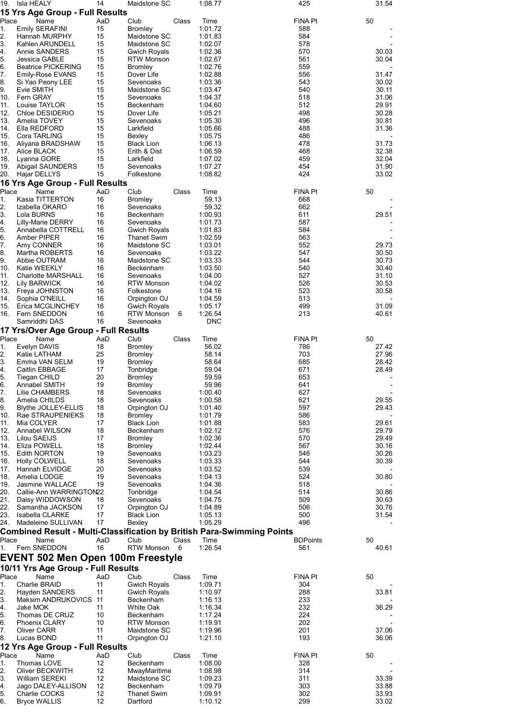| 19.         | Isla HEALY                                                                            | 14        | Maidstone SC                       |       | 1:08.77            | 425                   | 31.54          |
|-------------|---------------------------------------------------------------------------------------|-----------|------------------------------------|-------|--------------------|-----------------------|----------------|
|             | 15 Yrs Age Group - Full Results                                                       |           |                                    |       |                    |                       |                |
| Place<br>1. | Name<br>Emily SERAFINI                                                                | AaD<br>15 | Club<br><b>Bromley</b>             | Class | Time<br>1:01.72    | <b>FINA Pt</b><br>588 | 50             |
| 2.          | Hannah MURPHY                                                                         | 15        | Maidstone SC                       |       | 1:01.83            | 584                   |                |
| 3.          | Kahlen ARUNDELL                                                                       | 15        | Maidstone SC                       |       | 1:02.07            | 578                   |                |
| 4.          | Annie SANDERS                                                                         | 15        | <b>Gwich Royals</b>                |       | 1:02.36            | 570                   | 30.03          |
| 5.          | Jessica GABLE                                                                         | 15        | <b>RTW Monson</b>                  |       | 1:02.67            | 561                   | 30.04          |
| 6.<br>7.    | <b>Beatrice PICKERING</b><br>Emily-Rose EVANS                                         | 15<br>15  | <b>Bromley</b><br>Dover Life       |       | 1:02.76<br>1:02.88 | 559<br>556            | 31.47          |
| 8.          | Si Yao Peony LEE                                                                      | 15        | Sevenoaks                          |       | 1:03.36            | 543                   | 30.02          |
| 9.          | Evie SMITH                                                                            | 15        | Maidstone SC                       |       | 1:03.47            | 540                   | 30.11          |
| 10.         | Fern GRAY                                                                             | 15        | Sevenoaks                          |       | 1:04.37            | 518                   | 31.06          |
| 11.         | Louise TAYLOR                                                                         | 15        | Beckenham                          |       | 1:04.60            | 512                   | 29.91          |
| 12.<br>13.  | Chloe DESIDERIO                                                                       | 15<br>15  | Dover Life                         |       | 1:05.21            | 498<br>496            | 30.28<br>30.81 |
| 14.         | Amelia TOVEY<br>Ella REDFORD                                                          | 15        | Sevenoaks<br>Larkfield             |       | 1:05.30<br>1:05.66 | 488                   | 31.36          |
| 15.         | Cora TARLING                                                                          | 15        | Bexley                             |       | 1:05.75            | 486                   |                |
| 16.         | Aliyana BRADSHAW                                                                      | 15        | <b>Black Lion</b>                  |       | 1:06.13            | 478                   | 31.73          |
| 17.         | Alice BLACK                                                                           | 15        | Erith & Dist                       |       | 1:06.59            | 468                   | 32.38          |
| 18.         | Lyanna GORE                                                                           | 15        | Larkfield                          |       | 1:07.02            | 459                   | 32.04          |
| 19.<br>20.  | Abigail SAUNDERS<br>Hajar DELLYS                                                      | 15<br>15  | Sevenoaks<br>Folkestone            |       | 1:07.27<br>1:08.82 | 454<br>424            | 31.90<br>33.02 |
|             | 16 Yrs Age Group - Full Results                                                       |           |                                    |       |                    |                       |                |
| Place       | Name                                                                                  | AaD       | Club                               | Class | Time               | <b>FINA Pt</b>        | 50             |
| 1.          | Kasia TITTERTON                                                                       | 16        | <b>Bromley</b>                     |       | 59.13              | 668                   |                |
| 2.          | Izabella OKARO                                                                        | 16        | Sevenoaks                          |       | 59.32              | 662                   |                |
| 3.          | Lola BURNS                                                                            | 16        | Beckenham                          |       | 1:00.93            | 611                   | 29.51          |
| 4.          | Lilly-Marie DERRY                                                                     | 16        | Sevenoaks                          |       | 1:01.73            | 587                   |                |
| 5.          | Annabella COTTRELL                                                                    | 16        | <b>Gwich Royals</b>                |       | 1:01.83            | 584                   |                |
| 6.<br>7.    | Amber PIPER                                                                           | 16<br>16  | <b>Thanet Swim</b><br>Maidstone SC |       | 1:02.59            | 563<br>552            | 29.73          |
| 8.          | Amy CONNER<br>Martha ROBERTS                                                          | 16        | Sevenoaks                          |       | 1:03.01<br>1:03.22 | 547                   | 30.50          |
| 9.          | Abbie OUTRAM                                                                          | 16        | Maidstone SC                       |       | 1:03.33            | 544                   | 30.73          |
| 10.         | Katie WEEKLY                                                                          | 16        | Beckenham                          |       | 1:03.50            | 540                   | 30.40          |
| 11.         | <b>Charlotte MARSHALL</b>                                                             | 16        | Sevenoaks                          |       | 1:04.00            | 527                   | 31.10          |
| 12.         | Lily BARWICK                                                                          | 16        | <b>RTW Monson</b>                  |       | 1:04.02            | 526                   | 30.53          |
| 13.         | Freya JOHNSTON                                                                        | 16        | Folkestone                         |       | 1:04.16            | 523                   | 30.58          |
| 14.         | Sophia O'NEILL                                                                        | 16        | Orpington OJ                       |       | 1:04.59            | 513                   |                |
| 15.<br>16.  | Erica MCGLINCHEY<br>Fern SNEDDON                                                      | 16<br>16  | Gwich Royals<br>RTW Monson         |       | 1:05.17<br>1:26.54 | 499<br>213            | 31.09<br>40.61 |
|             | Samriddhi DAS                                                                         | 16        | Sevenoaks                          | 6     | <b>DNC</b>         |                       |                |
|             | 17 Yrs/Over Age Group - Full Results                                                  |           |                                    |       |                    |                       |                |
|             |                                                                                       |           |                                    |       |                    |                       |                |
|             |                                                                                       |           |                                    | Class | Time               |                       |                |
| Place<br>1. | Name<br>Evelyn DAVIS                                                                  | AaD<br>18 | Club<br><b>Bromley</b>             |       | 56.02              | <b>FINA Pt</b><br>786 | 50<br>27.42    |
| 2.          | Katie LATHAM                                                                          | 25        | <b>Bromley</b>                     |       | 58.14              | 703                   | 27.96          |
| 3.          | Emma VAN SELM                                                                         | 19        | <b>Bromley</b>                     |       | 58.64              | 685                   | 28.42          |
| 4.          | Caitlin EBBAGE                                                                        | 17        | Tonbridge                          |       | 59.04              | 671                   | 28.49          |
| 5.          | Tiegan CHILD                                                                          | 20        | <b>Bromley</b>                     |       | 59.59              | 653                   |                |
| 6.          | Annabel SMITH                                                                         | 19        | <b>Bromley</b>                     |       | 59.96              | 641                   |                |
| 7.          | Lilie CHAMBERS                                                                        | 18        | Sevenoaks                          |       | 1:00.40            | 627                   |                |
| 8.<br>9.    | Amelia CHILDS                                                                         | 18<br>18  | Sevenoaks<br>Orpington OJ          |       | 1:00.58<br>1:01.40 | 621<br>597            | 29.55<br>29.43 |
| 10.         | Blythe JOLLEY-ELLIS<br>Rae STRAUPENIEKS                                               | 18        | <b>Bromley</b>                     |       | 1:01.79            | 586                   |                |
| 11.         | Mia COLYER                                                                            | 17        | <b>Black Lion</b>                  |       | 1:01.88            | 583                   | 29.61          |
| 12.         | Annabel WILSON                                                                        | 18        | Beckenham                          |       | 1:02.12            | 576                   | 29.79          |
| 13.         | Lilou SAEIJS                                                                          | 17        | <b>Bromley</b>                     |       | 1:02.36            | 570                   | 29.49          |
| 14.         | Eliza POWELL                                                                          | 18        | <b>Bromley</b>                     |       | 1:02.44            | 567                   | 30.16          |
| 15.         | <b>Edith NORTON</b>                                                                   | 19        | Sevenoaks                          |       | 1:03.23            | 546                   | 30.26          |
| 16.<br>17.  | Holly COLWELL<br>Hannah ELVIDGE                                                       | 18<br>20  | Sevenoaks<br>Sevenoaks             |       | 1:03.33<br>1:03.52 | 544<br>539            | 30.39          |
| 18.         | Amelia LODGE                                                                          | 19        | Sevenoaks                          |       | 1:04.13            | 524                   | 30.80          |
| 19.         | Jasmine WALLACE                                                                       | 19        | Sevenoaks                          |       | 1:04.36            | 518                   |                |
| 20.         | Callie-Ann WARRINGTON22                                                               |           | Tonbridge                          |       | 1:04.54            | 514                   | 30.86          |
| 21.         | Daisy WIDDOWSON                                                                       | 18        | Sevenoaks                          |       | 1:04.75            | 509                   | 30.63          |
| 22.         | Samantha JACKSON                                                                      | 17        | Orpington OJ                       |       | 1:04.89            | 506                   | 30.76          |
| 23.<br>24.  | Isabella CLARKE<br>Madeleine SULLIVAN                                                 | 17<br>17  | <b>Black Lion</b><br>Bexley        |       | 1:05.13<br>1:05.29 | 500<br>496            | 31.54          |
|             |                                                                                       |           |                                    |       |                    |                       |                |
| Place       | <b>Combined Result - Multi-Classification by British Para-Swimming Points</b><br>Name | AaD       | Club                               | Class | Time               | <b>BDPoints</b>       | 50             |
| 1.          | Fern SNEDDON                                                                          | 16        | <b>RTW Monson</b>                  | 6     | 1:26.54            | 561                   | 40.61          |
|             | <b>EVENT 502 Men Open 100m Freestyle</b>                                              |           |                                    |       |                    |                       |                |
|             | 10/11 Yrs Age Group - Full Results                                                    |           |                                    |       |                    |                       |                |
| Place       | Name                                                                                  | AaD       | Club                               | Class | Time               | <b>FINA Pt</b>        | 50             |
| 1.          | Charlie BRAID                                                                         | 11        | Gwich Royals                       |       | 1:09.71            | 304                   |                |
| 2.          | Hayden SANDERS                                                                        | 11        | Gwich Royals                       |       | 1:10.97            | 288                   | 33.81          |
| 3.          | Maksim ANDRUKOVICS                                                                    | -11       | Beckenham                          |       | 1:16.13            | 233                   |                |
| 4.          | Jake MOK                                                                              | 11        | White Oak                          |       | 1:16.34            | 232                   | 36.29          |
| 5.<br>6.    | Thomas DE CRUZ<br><b>Phoenix CLARY</b>                                                | 10<br>10  | Beckenham<br><b>RTW Monson</b>     |       | 1:17.24<br>1:19.91 | 224<br>202            |                |
| 7.          | Oliver CARR                                                                           | 11        | Maidstone SC                       |       | 1:19.96            | 201                   | 37.06          |
| 8.          | Lucas BOND                                                                            | 11        | Orpington OJ                       |       | 1:21.10            | 193                   | 36.06          |
|             | 12 Yrs Age Group - Full Results                                                       |           |                                    |       |                    |                       |                |
| Place       | Name                                                                                  | AaD       | Club                               | Class | Time               | <b>FINA Pt</b>        | 50             |
| 1.          | Thomas LOVE                                                                           | 12        | Beckenham                          |       | 1:08.00            | 328                   |                |
| 2.          | Oliver BECKWITH                                                                       | 12        | MwayMaritime                       |       | 1:08.98            | 314                   |                |
| 3.          | William SEREKI                                                                        | 12        | Maidstone SC                       |       | 1:09.23            | 311                   | 33.39          |
| 4.<br>5.    | Jago DALEY-ALLISON<br>Charlie COCKS                                                   | 12<br>12  | Beckenham<br>Thanet Swim           |       | 1:09.79<br>1:09.91 | 303<br>302            | 33.88<br>33.93 |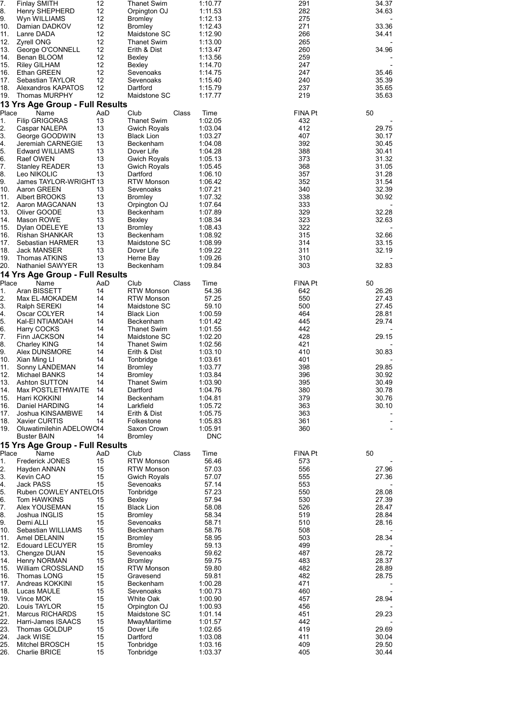| 7.<br>8.    | <b>Finlay SMITH</b><br>Henry SHEPHERD          | 12<br>12  | <b>Thanet Swim</b>                         |       | 1:10.77<br>1:11.53    | 291<br>282                  | 34.37<br>34.63 |
|-------------|------------------------------------------------|-----------|--------------------------------------------|-------|-----------------------|-----------------------------|----------------|
| 9.          | Wyn WILLIAMS                                   | 12        | Orpington OJ<br><b>Bromley</b>             |       | 1:12.13               | 275                         |                |
| 10.         | Damian DADKOV                                  | 12        | <b>Bromley</b>                             |       | 1:12.43               | 271                         | 33.36          |
| 11.<br>12.  | Lanre DADA<br><b>Zyrell ONG</b>                | 12<br>12  | Maidstone SC<br>Thanet Swim                |       | 1:12.90<br>1:13.00    | 266<br>265                  | 34.41          |
| 13.         | George O'CONNELL                               | 12        | Erith & Dist                               |       | 1:13.47               | 260                         | 34.96          |
| 14.         | Benan BLOOM                                    | 12<br>12  | Bexley                                     |       | 1:13.56               | 259                         |                |
| 15.<br>16.  | <b>Riley GILHAM</b><br>Ethan GREEN             | 12        | Bexley<br>Sevenoaks                        |       | 1:14.70<br>1:14.75    | 247<br>247                  | 35.46          |
| 17.         | Sebastian TAYLOR                               | 12        | Sevenoaks                                  |       | 1:15.40               | 240                         | 35.39          |
| 18.<br>19.  | Alexandros KAPATOS<br>Thomas MURPHY            | 12<br>12  | Dartford<br>Maidstone SC                   |       | 1:15.79<br>1:17.77    | 237<br>219                  | 35.65<br>35.63 |
|             | 13 Yrs Age Group - Full Results                |           |                                            |       |                       |                             |                |
| Place       | Name                                           | AaD       | Club                                       | Class | Time                  | FINA Pt<br>50               |                |
| 1.          | <b>Filip GRIGORAS</b>                          | 13        | <b>Thanet Swim</b>                         |       | 1:02.05               | 432                         |                |
| 2.<br>3.    | Caspar NALEPA<br>George GOODWIN                | 13<br>13  | Gwich Royals<br><b>Black Lion</b>          |       | 1:03.04<br>1:03.27    | 412<br>407                  | 29.75<br>30.17 |
| 4.          | Jeremiah CARNEGIE                              | 13        | Beckenham                                  |       | 1:04.08               | 392                         | 30.45          |
| 5.          | <b>Edward WILLIAMS</b>                         | 13        | Dover Life                                 |       | 1:04.28               | 388                         | 30.41          |
| 6.<br>7.    | Raef OWEN<br><b>Stanley READER</b>             | 13<br>13  | <b>Gwich Royals</b><br><b>Gwich Royals</b> |       | 1:05.13<br>1:05.45    | 373<br>368                  | 31.32<br>31.05 |
| 8.          | Leo NIKOLIC                                    | 13        | Dartford                                   |       | 1:06.10               | 357                         | 31.28          |
| 9.<br>10.   | James TAYLOR-WRIGHT 13                         | 13        | RTW Monson                                 |       | 1:06.42<br>1:07.21    | 352<br>340                  | 31.54<br>32.39 |
| 11.         | Aaron GREEN<br>Albert BROOKS                   | 13        | Sevenoaks<br><b>Bromley</b>                |       | 1:07.32               | 338                         | 30.92          |
| 12.         | Aaron MAGCANAN                                 | 13        | Orpington OJ                               |       | 1:07.64               | 333                         |                |
| 13.<br>14.  | Oliver GOODE                                   | 13<br>13  | Beckenham                                  |       | 1:07.89               | 329<br>323                  | 32.28<br>32.63 |
| 15.         | Mason ROWE<br>Dylan ODELEYE                    | 13        | Bexley<br><b>Bromley</b>                   |       | 1:08.34<br>1:08.43    | 322                         |                |
| 16.         | <b>Rishan SHANKAR</b>                          | 13        | Beckenham                                  |       | 1:08.92               | 315                         | 32.66          |
| 17.<br>18.  | Sebastian HARMER                               | 13<br>13  | Maidstone SC                               |       | 1:08.99               | 314<br>311                  | 33.15<br>32.19 |
| 19.         | Jack MANSER<br><b>Thomas ATKINS</b>            | 13        | Dover Life<br>Herne Bay                    |       | 1:09.22<br>1:09.26    | 310                         |                |
| 20.         | Nathaniel SAWYER                               | 13        | Beckenham                                  |       | 1:09.84               | 303                         | 32.83          |
|             | 14 Yrs Age Group - Full Results                |           |                                            |       |                       |                             |                |
| Place<br>1. | Name<br>Aran BISSETT                           | AaD<br>14 | Club<br><b>RTW Monson</b>                  | Class | Time<br>54.36         | <b>FINA Pt</b><br>50<br>642 | 26.26          |
| 2.          | Max EL-MOKADEM                                 | 14        | <b>RTW Monson</b>                          |       | 57.25                 | 550                         | 27.43          |
| 3.          | Ralph SEREKI                                   | 14        | Maidstone SC                               |       | 59.10                 | 500                         | 27.45          |
| 4.<br>5.    | Oscar COLYER<br>Kal-EI NTIAMOAH                | 14<br>14  | <b>Black Lion</b><br>Beckenham             |       | 1:00.59<br>1:01.42    | 464<br>445                  | 28.81<br>29.74 |
| 6.          | Harry COCKS                                    | 14        | Thanet Swim                                |       | 1:01.55               | 442                         |                |
| 7.          | Finn JACKSON                                   | 14        | Maidstone SC                               |       | 1:02.20               | 428                         | 29.15          |
| 8.<br>9.    | <b>Charley KING</b><br>Alex DUNSMORE           | 14<br>14  | Thanet Swim<br>Erith & Dist                |       | 1:02.56<br>1:03.10    | 421<br>410                  | 30.83          |
| 10.         | Xian Ming Ll                                   | 14        | Tonbridge                                  |       | 1:03.61               | 401                         |                |
| 11.         | Sonny LANDEMAN                                 | 14<br>14  | Bromley<br><b>Bromley</b>                  |       | 1:03.77               | 398<br>396                  | 29.85<br>30.92 |
| 12.<br>13.  | Michael BANKS<br>Ashton SUTTON                 | 14        | Thanet Swim                                |       | 1:03.84<br>1:03.90    | 395                         | 30.49          |
| 14.         | Max POSTLETHWAITE                              | 14        | Dartford                                   |       | 1:04.76               | 380                         | 30.78          |
| 15.<br>16.  | Harri KOKKINI<br>Daniel HARDING                | 14<br>14  | Beckenham<br>Larkfield                     |       | 1:04.81<br>1:05.72    | 379<br>363                  | 30.76<br>30.10 |
| 17.         | Joshua KINSAMBWE                               | 14        | Erith & Dist                               |       | 1:05.75               | 363                         |                |
| 18.         | Xavier CURTIS                                  | 14        | Folkestone                                 |       | 1:05.83               | 361                         |                |
| 19.         | Oluwatimilehin ADELOW014<br><b>Buster BAIN</b> | 14        | Saxon Crown<br><b>Bromley</b>              |       | 1:05.91<br><b>DNC</b> | 360                         |                |
|             | 15 Yrs Age Group - Full Results                |           |                                            |       |                       |                             |                |
| Place       | Name                                           | AaD       | Club                                       | Class | Time                  | <b>FINA Pt</b><br>50        |                |
| 1.<br>2.    | <b>Frederick JONES</b><br>Hayden ANNAN         | 15<br>15  | <b>RTW Monson</b><br><b>RTW Monson</b>     |       | 56.46<br>57.03        | 573<br>556                  | 27.96          |
| 3.          | Kevin CAO                                      | 15        | <b>Gwich Royals</b>                        |       | 57.07                 | 555                         | 27.36          |
| 4.          | Jack PASS                                      | 15        | Sevenoaks                                  |       | 57.14                 | 553                         |                |
| 5.<br>6.    | Ruben COWLEY ANTELO15<br>Tom HAWKINS           | 15        | Tonbridge<br>Bexley                        |       | 57.23<br>57.94        | 550<br>530                  | 28.08<br>27.39 |
| 7.          | Alex YOUSEMAN                                  | 15        | <b>Black Lion</b>                          |       | 58.08                 | 526                         | 28.47          |
| 8.          | Joshua INGLIS                                  | 15        | <b>Bromley</b>                             |       | 58.34                 | 519                         | 28.84          |
| 9.<br>10.   | Demi ALLI<br>Sebastian WILLIAMS                | 15<br>15  | Sevenoaks<br>Beckenham                     |       | 58.71<br>58.76        | 510<br>508                  | 28.16          |
| 11.         | Amel DELANIN                                   | 15        | Bromley                                    |       | 58.95                 | 503                         | 28.34          |
| 12.         | <b>Edouard LECUYER</b>                         | 15        | <b>Bromley</b>                             |       | 59.13                 | 499                         |                |
| 13.<br>14.  | Chengze DUAN<br><b>Henry NORMAN</b>            | 15<br>15  | Sevenoaks<br><b>Bromley</b>                |       | 59.62<br>59.75        | 487<br>483                  | 28.72<br>28.37 |
| 15.         | William CROSSLAND                              | 15        | <b>RTW Monson</b>                          |       | 59.80                 | 482                         | 28.89          |
| 16.         | Thomas LONG                                    | 15        | Gravesend                                  |       | 59.81                 | 482                         | 28.75          |
| 17.<br>18.  | Andreas KOKKINI<br>Lucas MAULE                 | 15<br>15  | Beckenham<br>Sevenoaks                     |       | 1:00.28<br>1:00.73    | 471<br>460                  |                |
| 19.         | Vince MOK                                      | 15        | White Oak                                  |       | 1:00.90               | 457                         | 28.94          |
| 20.         | Louis TAYLOR                                   | 15        | Orpington OJ                               |       | 1:00.93               | 456                         |                |
| 21.<br>22.  | Marcus RICHARDS<br>Harri-James ISAACS          | 15<br>15  | Maidstone SC<br>MwayMaritime               |       | 1:01.14<br>1:01.57    | 451<br>442                  | 29.23          |
| 23.         | Thomas GOLDUP                                  | 15        | Dover Life                                 |       | 1:02.65               | 419                         | 29.69          |
| 24.<br>25.  | Jack WISE<br>Mitchel BROSCH                    | 15<br>15  | Dartford<br>Tonbridge                      |       | 1:03.08<br>1:03.16    | 411<br>409                  | 30.04<br>29.50 |
| 26.         | Charlie BRICE                                  | 15        | Tonbridge                                  |       | 1:03.37               | 405                         | 30.44          |
|             |                                                |           |                                            |       |                       |                             |                |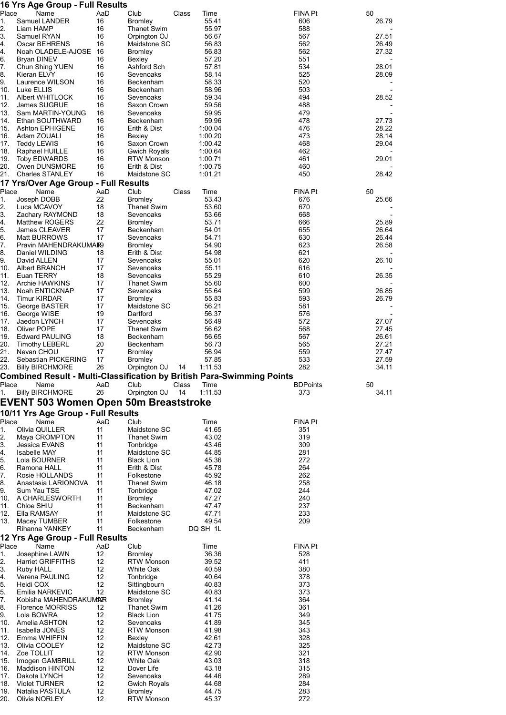|             | 16 Yrs Age Group - Full Results              |           |                                      |                                                                               |                 |                |
|-------------|----------------------------------------------|-----------|--------------------------------------|-------------------------------------------------------------------------------|-----------------|----------------|
| Place       | Name                                         | AaD       | Club                                 | Class<br>Time                                                                 | FINA Pt         | 50             |
| 1.<br>2.    | Samuel LANDER<br>Liam HAMP                   | 16<br>16  | <b>Bromley</b><br><b>Thanet Swim</b> | 55.41<br>55.97                                                                | 606<br>588      | 26.79          |
| 3.          | Samuel RYAN                                  | 16        | Orpington OJ                         | 56.67                                                                         | 567             | 27.51          |
| 4.          | Oscar BEHRENS                                | 16        | Maidstone SC                         | 56.83                                                                         | 562             | 26.49          |
| 4.          | Noah OLADELE-AJOSE                           | 16        | <b>Bromley</b>                       | 56.83                                                                         | 562             | 27.32          |
| 6.          | Bryan DINEV                                  | 16        | Bexley                               | 57.20                                                                         | 551             |                |
| 7.          | Chun Shing YUEN                              | 16        | Ashford Sch                          | 57.81                                                                         | 534             | 28.01          |
| 8.<br>9.    | Kieran ELVY<br>Laurence WILSON               | 16<br>16  | Sevenoaks<br>Beckenham               | 58.14<br>58.33                                                                | 525<br>520      | 28.09          |
| 10.         | Luke ELLIS                                   | 16        | Beckenham                            | 58.96                                                                         | 503             |                |
| 11.         | <b>Albert WHITLOCK</b>                       | 16        | Sevenoaks                            | 59.34                                                                         | 494             | 28.52          |
| 12.         | <b>James SUGRUE</b>                          | 16        | Saxon Crown                          | 59.56                                                                         | 488             |                |
| 13.         | Sam MARTIN-YOUNG                             | 16        | Sevenoaks                            | 59.95                                                                         | 479             |                |
| 14.         | Ethan SOUTHWARD                              | 16        | Beckenham                            | 59.96                                                                         | 478             | 27.73          |
| 15.<br>16.  | <b>Ashton EPHIGENE</b><br>Adam ZOUALI        | 16<br>16  | Erith & Dist<br>Bexley               | 1:00.04<br>1:00.20                                                            | 476<br>473      | 28.22<br>28.14 |
| 17.         | <b>Teddy LEWIS</b>                           | 16        | Saxon Crown                          | 1:00.42                                                                       | 468             | 29.04          |
| 18.         | Raphael HUILLE                               | 16        | Gwich Royals                         | 1:00.64                                                                       | 462             |                |
| 19.         | <b>Toby EDWARDS</b>                          | 16        | RTW Monson                           | 1:00.71                                                                       | 461             | 29.01          |
| 20.         | Owen DUNSMORE                                | 16        | Erith & Dist                         | 1:00.75                                                                       | 460             |                |
| 21.         | <b>Charles STANLEY</b>                       | 16        | Maidstone SC                         | 1:01.21                                                                       | 450             | 28.42          |
|             | 17 Yrs/Over Age Group - Full Results         |           |                                      |                                                                               |                 |                |
| Place<br>1. | Name<br>Joseph DOBB                          | AaD<br>22 | Club                                 | Class<br>Time<br>53.43                                                        | FINA Pt<br>676  | 50             |
| 2.          | Luca MCAVOY                                  | 18        | <b>Bromley</b><br><b>Thanet Swim</b> | 53.60                                                                         | 670             | 25.66          |
| 3.          | Zachary RAYMOND                              | 18        | Sevenoaks                            | 53.66                                                                         | 668             |                |
| 4.          | <b>Matthew ROGERS</b>                        | 22        | <b>Bromley</b>                       | 53.71                                                                         | 666             | 25.89          |
| 5.          | <b>James CLEAVER</b>                         | 17        | Beckenham                            | 54.01                                                                         | 655             | 26.64          |
| 6.          | <b>Matt BURROWS</b>                          | 17        | Sevenoaks                            | 54.71                                                                         | 630             | 26.44          |
| 7.          | Pravin MAHENDRAKUMAR9                        |           | <b>Bromley</b>                       | 54.90                                                                         | 623             | 26.58          |
| 8.<br>9.    | Daniel WILDING<br>David ALLEN                | 18<br>17  | Erith & Dist<br>Sevenoaks            | 54.98<br>55.01                                                                | 621<br>620      | 26.10          |
| 10.         | Albert BRANCH                                | 17        | Sevenoaks                            | 55.11                                                                         | 616             |                |
| 11.         | Euan TERRY                                   | 18        | Sevenoaks                            | 55.29                                                                         | 610             | 26.35          |
| 12.         | Archie HAWKINS                               | 17        | <b>Thanet Swim</b>                   | 55.60                                                                         | 600             |                |
| 13.         | Noah ENTICKNAP                               | 17        | Sevenoaks                            | 55.64                                                                         | 599             | 26.85          |
| 14.<br>15.  | <b>Timur KIRDAR</b>                          | 17<br>17  | <b>Bromley</b><br>Maidstone SC       | 55.83<br>56.21                                                                | 593<br>581      | 26.79          |
| 16.         | George BASTER<br>George WISE                 | 19        | Dartford                             | 56.37                                                                         | 576             |                |
| 17.         | Jaedon LYNCH                                 | 17        | Sevenoaks                            | 56.49                                                                         | 572             | 27.07          |
| 18.         | Oliver POPE                                  | 17        | <b>Thanet Swim</b>                   | 56.62                                                                         | 568             | 27.45          |
| 19.         | <b>Edward PAULING</b>                        | 18        | Beckenham                            | 56.65                                                                         | 567             | 26.61          |
| 20.         | <b>Timothy LEBERL</b>                        | 20        | Beckenham                            | 56.73                                                                         | 565             | 27.21          |
| 21.<br>22.  | Nevan CHOU<br>Sebastian PICKERING            | 17<br>17  | <b>Bromley</b><br><b>Bromley</b>     | 56.94<br>57.85                                                                | 559<br>533      | 27.47<br>27.59 |
| 23.         | <b>Billy BIRCHMORE</b>                       | 26        | Orpington OJ                         | 1:11.53<br>14                                                                 | 282             | 34.11          |
|             |                                              |           |                                      | <b>Combined Result - Multi-Classification by British Para-Swimming Points</b> |                 |                |
| Place       | Name                                         | AaD       | Club                                 | Time<br>Class                                                                 | <b>BDPoints</b> | 50             |
|             |                                              |           |                                      |                                                                               |                 |                |
| 1.          | <b>Billy BIRCHMORE</b>                       | 26        | Orpington OJ                         | 14<br>1:11.53                                                                 | 373             | 34.11          |
|             | <b>EVENT 503 Women Open 50m Breaststroke</b> |           |                                      |                                                                               |                 |                |
|             | 10/11 Yrs Age Group - Full Results           |           |                                      |                                                                               |                 |                |
| Place       | Name                                         | AaD       | Club                                 | Time                                                                          | FINA Pt         |                |
| 1.          | Olivia QUILLER                               | 11        | Maidstone SC                         | 41.65                                                                         | 351             |                |
| 2.          | Maya CROMPTON                                | 11        | <b>Thanet Swim</b>                   | 43.02                                                                         | 319             |                |
| 3.          | Jessica EVANS                                | 11        | Tonbridge                            | 43.46                                                                         | 309             |                |
| 4.          | <b>Isabelle MAY</b><br>Lola BOURNER          | 11<br>11  | Maidstone SC                         | 44.85                                                                         | 281             |                |
| 5.<br>6.    | Ramona HALL                                  | 11        | <b>Black Lion</b><br>Erith & Dist    | 45.36<br>45.78                                                                | 272<br>264      |                |
| 7.          | Rosie HOLLANDS                               | 11        | Folkestone                           | 45.92                                                                         | 262             |                |
| 8.          | Anastasia LARIONOVA                          | 11        | <b>Thanet Swim</b>                   | 46.18                                                                         | 258             |                |
| 9.          | Sum Yau TSE                                  | 11        | Tonbridge                            | 47.02                                                                         | 244             |                |
| 10.         | A CHARLESWORTH                               | 11        | <b>Bromley</b>                       | 47.27                                                                         | 240             |                |
| 11.<br>12.  | Chloe SHIU<br>Ella RAMSAY                    | 11<br>11  | Beckenham<br>Maidstone SC            | 47.47<br>47.71                                                                | 237<br>233      |                |
| 13.         | Macey TUMBER                                 | 11        | Folkestone                           | 49.54                                                                         | 209             |                |
|             | Rihanna YANKEY                               | 11        | Beckenham                            | DQ SH 1L                                                                      |                 |                |
|             | 12 Yrs Age Group - Full Results              |           |                                      |                                                                               |                 |                |
| Place       | Name                                         | AaD       | Club                                 | Time                                                                          | FINA Pt         |                |
| 1.          | Josephine LAWN                               | 12        | <b>Bromley</b>                       | 36.36                                                                         | 528             |                |
| 2.          | <b>Harriet GRIFFITHS</b>                     | 12        | <b>RTW Monson</b>                    | 39.52                                                                         | 411             |                |
| 3.          | Ruby HALL                                    | 12        | White Oak                            | 40.59                                                                         | 380             |                |
| 4.<br>5.    | Verena PAULING<br>Heidi COX                  | 12<br>12  | Tonbridge<br>Sittingbourn            | 40.64<br>40.83                                                                | 378<br>373      |                |
| 5.          | Emilia NARKEVIC                              | 12        | Maidstone SC                         | 40.83                                                                         | 373             |                |
| 7.          | Kobisha MAHENDRAKUMAR                        |           | Bromley                              | 41.14                                                                         | 364             |                |
| 8.          | <b>Florence MORRISS</b>                      | 12        | Thanet Swim                          | 41.26                                                                         | 361             |                |
| 9.          | Lola BOWRA                                   | 12        | <b>Black Lion</b>                    | 41.75                                                                         | 349             |                |
| 10.<br>11.  | Amelia ASHTON<br>Isabella JONES              | 12<br>12  | Sevenoaks<br><b>RTW Monson</b>       | 41.89<br>41.98                                                                | 345<br>343      |                |
| 12.         | Emma WHIFFIN                                 | 12        | Bexley                               | 42.61                                                                         | 328             |                |
| 13.         | Olivia COOLEY                                | 12        | Maidstone SC                         | 42.73                                                                         | 325             |                |
| 14.         | Zoe TOLLIT                                   | 12        | <b>RTW Monson</b>                    | 42.90                                                                         | 321             |                |
| 15.         | Imogen GAMBRILL                              | 12        | <b>White Oak</b>                     | 43.03                                                                         | 318             |                |
| 16.         | <b>Maddison HINTON</b>                       | 12        | Dover Life                           | 43.18                                                                         | 315             |                |
| 17.<br>18.  | Dakota LYNCH<br><b>Violet TURNER</b>         | 12<br>12  | Sevenoaks<br>Gwich Royals            | 44.46<br>44.68                                                                | 289<br>284      |                |
| 19.<br>20.  | Natalia PASTULA<br>Olivia NORLEY             | 12<br>12  | Bromley<br><b>RTW Monson</b>         | 44.75<br>45.37                                                                | 283<br>272      |                |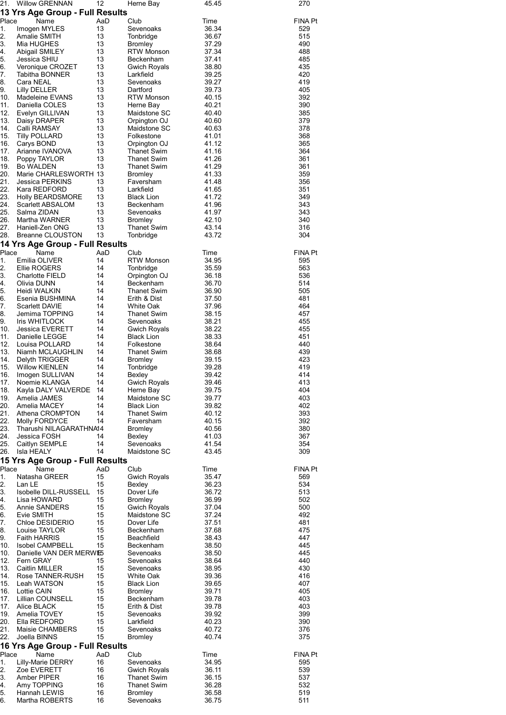| 21.         | <b>Willow GRENNAN</b>                         | 12        | Herne Bay                           | 45.45          | 270                   |
|-------------|-----------------------------------------------|-----------|-------------------------------------|----------------|-----------------------|
|             | 13 Yrs Age Group - Full Results               |           |                                     |                |                       |
| Place<br>1. | Name<br>Imogen MYLES                          | AaD<br>13 | Club<br>Sevenoaks                   | Time<br>36.34  | <b>FINA Pt</b><br>529 |
| 2.          | Amalie SMITH                                  | 13        | Tonbridge                           | 36.67          | 515                   |
| 3.          | Mia HUGHES                                    | 13        | <b>Bromley</b>                      | 37.29          | 490                   |
| 4.          | Abigail SMILEY                                | 13        | <b>RTW Monson</b>                   | 37.34          | 488                   |
| 5.<br>6.    | Jessica SHIU                                  | 13<br>13  | Beckenham                           | 37.41          | 485<br>435            |
| 7.          | Veronique CROZET<br>Tabitha BONNER            | 13        | Gwich Royals<br>Larkfield           | 38.80<br>39.25 | 420                   |
| 8.          | Cara NEAL                                     | 13        | Sevenoaks                           | 39.27          | 419                   |
| 9.          | <b>Lilly DELLER</b>                           | 13        | Dartford                            | 39.73          | 405                   |
| 10.         | Madeleine EVANS                               | 13        | <b>RTW Monson</b>                   | 40.15          | 392                   |
| 11.<br>12.  | Daniella COLES<br>Evelyn GILLIVAN             | 13<br>13  | Herne Bay<br>Maidstone SC           | 40.21<br>40.40 | 390<br>385            |
| 13.         | Daisy DRAPER                                  | 13        | Orpington OJ                        | 40.60          | 379                   |
| 14.         | Calli RAMSAY                                  | 13        | Maidstone SC                        | 40.63          | 378                   |
| 15.         | <b>Tilly POLLARD</b>                          | 13        | Folkestone                          | 41.01          | 368                   |
| 16.         | Carys BOND                                    | 13        | Orpington OJ                        | 41.12          | 365                   |
| 17.<br>18.  | Arianne IVANOVA<br>Poppy TAYLOR               | 13<br>13  | Thanet Swim<br>Thanet Swim          | 41.16<br>41.26 | 364<br>361            |
| 19.         | <b>Bo WALDEN</b>                              | 13        | <b>Thanet Swim</b>                  | 41.29          | 361                   |
| 20.         | Marie CHARLESWORTH 13                         |           | Bromley                             | 41.33          | 359                   |
| 21.         | Jessica PERKINS                               | 13        | Faversham                           | 41.48          | 356                   |
| 22.         | Kara REDFORD                                  | 13        | Larkfield                           | 41.65          | 351                   |
| 23.<br>24.  | <b>Holly BEARDSMORE</b><br>Scarlett ABSALOM   | 13<br>13  | <b>Black Lion</b><br>Beckenham      | 41.72<br>41.96 | 349<br>343            |
| 25.         | Salma ZIDAN                                   | 13        | Sevenoaks                           | 41.97          | 343                   |
| 26.         | Martha WARNER                                 | 13        | <b>Bromley</b>                      | 42.10          | 340                   |
| 27.         | Haniell-Zen ONG                               | 13        | <b>Thanet Swim</b>                  | 43.14          | 316                   |
| 28.         | <b>Breanne CLOUSTON</b>                       | 13        | Tonbridge                           | 43.72          | 304                   |
|             | 14 Yrs Age Group - Full Results               |           |                                     |                |                       |
| Place<br>1. | Name<br>Emilia OLIVER                         | AaD<br>14 | Club<br><b>RTW Monson</b>           | Time<br>34.95  | <b>FINA Pt</b><br>595 |
| 2.          | Ellie ROGERS                                  | 14        | Tonbridge                           | 35.59          | 563                   |
| 3.          | <b>Charlotte FIELD</b>                        | 14        | Orpington OJ                        | 36.18          | 536                   |
| 4.          | Olivia DUNN                                   | 14        | Beckenham                           | 36.70          | 514                   |
| 5.          | Heidi WALKIN                                  | 14        | Thanet Swim                         | 36.90          | 505                   |
| 6.<br>7.    | Esenia BUSHMINA<br><b>Scarlett DAVIE</b>      | 14<br>14  | Erith & Dist<br>White Oak           | 37.50<br>37.96 | 481<br>464            |
| 8.          | Jemima TOPPING                                | 14        | Thanet Swim                         | 38.15          | 457                   |
| 9.          | <b>Iris WHITLOCK</b>                          | 14        | Sevenoaks                           | 38.21          | 455                   |
| 10.         | <b>Jessica EVERETT</b>                        | 14        | Gwich Royals                        | 38.22          | 455                   |
| 11.         | Danielle LEGGE                                | 14        | <b>Black Lion</b>                   | 38.33          | 451                   |
| 12.<br>13.  | Louisa POLLARD<br>Niamh MCLAUGHLIN            | 14<br>14  | Folkestone<br>Thanet Swim           | 38.64<br>38.68 | 440<br>439            |
| 14.         | Delyth TRIGGER                                | 14        | <b>Bromley</b>                      | 39.15          | 423                   |
| 15.         | <b>Willow KIENLEN</b>                         | 14        | Tonbridge                           | 39.28          | 419                   |
| 16.         | Imogen SULLIVAN                               | 14        | Bexley                              | 39.42          | 414                   |
| 17.         | Noemie KLANGA                                 | 14        | <b>Gwich Royals</b>                 | 39.46          | 413                   |
| 18.<br>19.  | Kayla DALY VALVERDE<br>Amelia JAMES           | 14<br>14  | Herne Bay<br>Maidstone SC           | 39.75<br>39.77 | 404<br>403            |
| 20.         | Amelia MACEY                                  | 14        | <b>Black Lion</b>                   | 39.82          | 402                   |
| 21.         | Athena CROMPTON                               | 14        | <b>Thanet Swim</b>                  | 40.12          | 393                   |
| 22.         | Molly FORDYCE                                 | 14        | Faversham                           | 40.15          | 392                   |
| 23.         | Tharushi NILAGARATHNA14                       |           | <b>Bromley</b>                      | 40.56          | 380                   |
| 24.<br>25.  | Jessica FOSH<br>Caitlyn SEMPLE                | 14<br>14  | Bexley<br>Sevenoaks                 | 41.03<br>41.54 | 367<br>354            |
| 26.         | Isla HEALY                                    | 14        | Maidstone SC                        | 43.45          | 309                   |
|             | 15 Yrs Age Group - Full Results               |           |                                     |                |                       |
| Place       | Name                                          | AaD       | Club                                | Time           | <b>FINA Pt</b>        |
| 1.          | Natasha GREER                                 | 15        | Gwich Royals                        | 35.47          | 569                   |
| 2.          | Lan LE                                        | 15        | Bexley                              | 36.23          | 534                   |
| 3.<br>4.    | Isobelle DILL-RUSSELL<br>Lisa HOWARD          | 15<br>15  | Dover Life<br><b>Bromley</b>        | 36.72<br>36.99 | 513<br>502            |
| 5.          | Annie SANDERS                                 | 15        | <b>Gwich Royals</b>                 | 37.04          | 500                   |
| 6.          | Evie SMITH                                    | 15        | Maidstone SC                        | 37.24          | 492                   |
| 7.          | Chloe DESIDERIO                               | 15        | Dover Life                          | 37.51          | 481                   |
| 8.          | Louise TAYLOR                                 | 15        | Beckenham                           | 37.68          | 475                   |
| 9.<br>10.   | <b>Faith HARRIS</b><br><b>Isobel CAMPBELL</b> | 15<br>15  | Beachfield<br>Beckenham             | 38.43<br>38.50 | 447<br>445            |
| 10.         | Danielle VAN DER MERWE5                       |           | Sevenoaks                           | 38.50          | 445                   |
| 12.         | Fern GRAY                                     | 15        | Sevenoaks                           | 38.64          | 440                   |
| 13.         | Caitlin MILLER                                | 15        | Sevenoaks                           | 38.95          | 430                   |
| 14.         | Rose TANNER-RUSH                              | 15        | White Oak                           | 39.36          | 416                   |
| 15.<br>16.  | Leah WATSON<br>Lottie CAIN                    | 15<br>15  | <b>Black Lion</b><br><b>Bromley</b> | 39.65<br>39.71 | 407<br>405            |
| 17.         | Lillian COUNSELL                              | 15        | Beckenham                           | 39.78          | 403                   |
| 17.         | Alice BLACK                                   | 15        | Erith & Dist                        | 39.78          | 403                   |
| 19.         | Amelia TOVEY                                  | 15        | Sevenoaks                           | 39.92          | 399                   |
| 20.         | Ella REDFORD                                  | 15        | Larkfield                           | 40.23          | 390                   |
| 21.<br>22.  | Maisie CHAMBERS<br>Joella BINNS               | 15<br>15  | Sevenoaks<br><b>Bromley</b>         | 40.72<br>40.74 | 376<br>375            |
|             | 16 Yrs Age Group - Full Results               |           |                                     |                |                       |
| Place       | Name                                          | AaD       | Club                                | Time           | <b>FINA Pt</b>        |
| 1.          | Lilly-Marie DERRY                             | 16        | Sevenoaks                           | 34.95          | 595                   |
| 2.          | Zoe EVERETT                                   | 16        | Gwich Royals                        | 36.11          | 539                   |
| 3.<br>4.    | Amber PIPER<br>Amy TOPPING                    | 16<br>16  | Thanet Swim<br><b>Thanet Swim</b>   | 36.15<br>36.28 | 537<br>532            |
| 5.          | Hannah LEWIS                                  | 16        | <b>Bromley</b>                      | 36.58          | 519                   |
| 6.          | Martha ROBERTS                                | 16        | Sevenoaks                           | 36.75          | 511                   |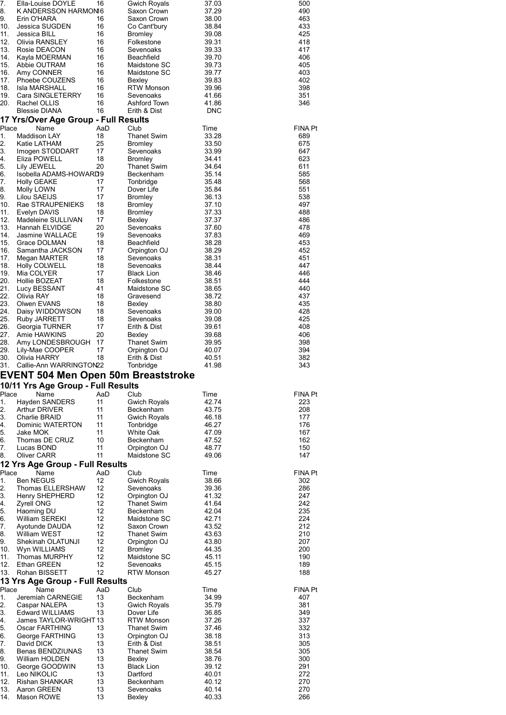| 7.         | Ella-Louise DOYLE                                            | 16        | <b>Gwich Royals</b>                | 37.03          | 500            |
|------------|--------------------------------------------------------------|-----------|------------------------------------|----------------|----------------|
| 8.<br>9.   | K ANDERSSON HARMONI6<br>Erin O'HARA                          | 16        | Saxon Crown<br>Saxon Crown         | 37.29<br>38.00 | 490<br>463     |
| 10.        | Jessica SUGDEN                                               | 16        | Co Cant'bury                       | 38.84          | 433            |
| 11.        | Jessica BILL                                                 | 16        | <b>Bromley</b>                     | 39.08          | 425            |
| 12.<br>13. | Olivia RANSLEY<br>Rosie DEACON                               | 16<br>16  | Folkestone<br>Sevenoaks            | 39.31<br>39.33 | 418<br>417     |
| 14.        | Kayla MOERMAN                                                | 16        | Beachfield                         | 39.70          | 406            |
| 15.        | Abbie OUTRAM                                                 | 16        | Maidstone SC                       | 39.73          | 405            |
| 16.<br>17. | Amy CONNER<br>Phoebe COUZENS                                 | 16<br>16  | Maidstone SC                       | 39.77<br>39.83 | 403<br>402     |
| 18.        | Isla MARSHALL                                                | 16        | Bexley<br><b>RTW Monson</b>        | 39.96          | 398            |
| 19.        | Cara SINGLETERRY                                             | 16        | Sevenoaks                          | 41.66          | 351            |
| 20.        | Rachel OLLIS                                                 | 16        | Ashford Town                       | 41.86          | 346            |
|            | <b>Blessie DIANA</b><br>17 Yrs/Over Age Group - Full Results | 16        | Erith & Dist                       | <b>DNC</b>     |                |
| Place      | Name                                                         | AaD       | Club                               | Time           | <b>FINA Pt</b> |
| 1.         | <b>Maddison LAY</b>                                          | 18        | <b>Thanet Swim</b>                 | 33.28          | 689            |
| 2.<br>3.   | Katie LATHAM<br>Imogen STODDART                              | 25<br>17  | <b>Bromley</b><br>Sevenoaks        | 33.50<br>33.99 | 675<br>647     |
| 4.         | Eliza POWELL                                                 | 18        | <b>Bromley</b>                     | 34.41          | 623            |
| 5.         | Lily JEWELL                                                  | 20        | <b>Thanet Swim</b>                 | 34.64          | 611            |
| 6.<br>7.   | Isobella ADAMS-HOWARD9                                       | 17        | Beckenham<br>Tonbridge             | 35.14          | 585<br>568     |
| 8.         | <b>Holly GEAKE</b><br>Molly LOWN                             | 17        | Dover Life                         | 35.48<br>35.84 | 551            |
| 9.         | Lilou SAEIJS                                                 | 17        | <b>Bromley</b>                     | 36.13          | 538            |
| 10.        | Rae STRAUPENIEKS                                             | 18        | <b>Bromley</b>                     | 37.10          | 497            |
| 11.<br>12. | Evelyn DAVIS<br>Madeleine SULLIVAN                           | 18<br>17  | <b>Bromley</b><br>Bexley           | 37.33<br>37.37 | 488<br>486     |
| 13.        | Hannah ELVIDGE                                               | 20        | Sevenoaks                          | 37.60          | 478            |
| 14.        | <b>Jasmine WALLACE</b>                                       | 19        | Sevenoaks                          | 37.83          | 469            |
| 15.        | Grace DOLMAN                                                 | 18        | Beachfield                         | 38.28          | 453            |
| 16.<br>17. | Samantha JACKSON<br>Megan MARTER                             | 17<br>18  | Orpington OJ<br>Sevenoaks          | 38.29<br>38.31 | 452<br>451     |
| 18.        | Holly COLWELL                                                | 18        | Sevenoaks                          | 38.44          | 447            |
| 19.        | Mia COLYER                                                   | 17        | <b>Black Lion</b>                  | 38.46          | 446            |
| 20.<br>21. | Hollie BOZEAT                                                | 18        | Folkestone                         | 38.51          | 444            |
| 22.        | Lucy BESSANT<br>Olivia RAY                                   | 41<br>18  | Maidstone SC<br>Gravesend          | 38.65<br>38.72 | 440<br>437     |
| 23.        | Olwen EVANS                                                  | 18        | Bexley                             | 38.80          | 435            |
| 24.        | Daisy WIDDOWSON                                              | 18        | Sevenoaks                          | 39.00          | 428            |
| 25.<br>26. | Ruby JARRETT<br>Georgia TURNER                               | 18<br>17  | Sevenoaks<br>Erith & Dist          | 39.08<br>39.61 | 425<br>408     |
| 27.        | Amie HAWKINS                                                 | 20        | Bexley                             | 39.68          | 406            |
| 28.        | Amy LONDESBROUGH                                             | 17        | <b>Thanet Swim</b>                 | 39.95          | 398            |
| 29.<br>30. | Lily-Mae COOPER<br>Olivia HARRY                              | 17<br>18  | Orpington OJ                       | 40.07<br>40.51 | 394            |
| 31.        | Callie-Ann WARRINGTON22                                      |           | Erith & Dist<br>Tonbridge          | 41.98          | 382<br>343     |
|            | <b>EVENT 504 Men Open 50m Breaststroke</b>                   |           |                                    |                |                |
|            | 10/11 Yrs Age Group - Full Results                           |           |                                    |                |                |
|            |                                                              |           |                                    |                |                |
| Place      | Name                                                         | AaD       | Club                               | Time           | FINA Pt        |
| 1.         | Hayden SANDERS                                               | 11        | Gwich Royals                       | 42.74          | 223            |
| 2.         | <b>Arthur DRIVER</b>                                         | 11        | Beckenham                          | 43.75          | 208            |
| 3.<br>4.   | Charlie BRAID<br>Dominic WATERTON                            | 11<br>11  | Gwich Royals<br>Tonbridge          | 46.18<br>46.27 | 177<br>176     |
| 5.         | Jake MOK                                                     | 11        | White Oak                          | 47.09          | 167            |
| 6.         | Thomas DE CRUZ                                               | 10        | Beckenham                          | 47.52          | 162            |
| 7.<br>8.   | Lucas BOND                                                   | 11<br>11  | Orpington OJ<br>Maidstone SC       | 48.77<br>49.06 | 150<br>147     |
|            | Oliver CARR<br>12 Yrs Age Group - Full Results               |           |                                    |                |                |
| Place      | Name                                                         | AaD       | Club                               | Time           | FINA Pt        |
| 1.         | <b>Ben NEGUS</b>                                             | 12        | Gwich Royals                       | 38.66          | 302            |
| 2.<br>3.   | Thomas ELLERSHAW                                             | 12<br>12  | Sevenoaks                          | 39.36          | 286<br>247     |
| 4.         | Henry SHEPHERD<br><b>Zyrell ONG</b>                          | 12        | Orpington OJ<br><b>Thanet Swim</b> | 41.32<br>41.64 | 242            |
| 5.         | Haoming DU                                                   | 12        | Beckenham                          | 42.04          | 235            |
| 6.         | William SEREKI                                               | 12        | Maidstone SC                       | 42.71          | 224            |
| 7.<br>8.   | Ayotunde DAUDA<br>William WEST                               | 12<br>12  | Saxon Crown<br><b>Thanet Swim</b>  | 43.52<br>43.63 | 212<br>210     |
| 9.         | Shekinah OLATUNJI                                            | 12        | Orpington OJ                       | 43.80          | 207            |
| 10.        | Wyn WILLIAMS                                                 | 12        | <b>Bromley</b>                     | 44.35          | 200            |
| 11.        | Thomas MURPHY                                                | 12<br>12  | Maidstone SC                       | 45.11          | 190            |
| 12.<br>13. | Ethan GREEN<br>Rohan BISSETT                                 | 12        | Sevenoaks<br><b>RTW Monson</b>     | 45.15<br>45.27 | 189<br>188     |
|            | 13 Yrs Age Group - Full Results                              |           |                                    |                |                |
| Place      | Name                                                         | AaD<br>13 | Club                               | Time           | <b>FINA Pt</b> |
| 1.<br>2.   | Jeremiah CARNEGIE<br>Caspar NALEPA                           | 13        | Beckenham<br>Gwich Royals          | 34.99<br>35.79 | 407<br>381     |
| 3.         | <b>Edward WILLIAMS</b>                                       | 13        | Dover Life                         | 36.85          | 349            |
| 4.         | James TAYLOR-WRIGHT 13                                       |           | <b>RTW Monson</b>                  | 37.26          | 337            |
| 5.         | Oscar FARTHING                                               | 13<br>13  | Thanet Swim                        | 37.46          | 332            |
| 6.<br>7.   | George FARTHING<br>David DICK                                | 13        | Orpington OJ<br>Erith & Dist       | 38.18<br>38.51 | 313<br>305     |
| 8.         | <b>Benas BENDZIUNAS</b>                                      | 13        | <b>Thanet Swim</b>                 | 38.54          | 305            |
| 9.         | William HOLDEN                                               | 13        | Bexley                             | 38.76          | 300            |
| 10.<br>11. | George GOODWIN<br>Leo NIKOLIC                                | 13<br>13  | <b>Black Lion</b><br>Dartford      | 39.12<br>40.01 | 291<br>272     |
| 12.        | <b>Rishan SHANKAR</b>                                        | 13        | Beckenham                          | 40.12          | 270            |
| 13.<br>14. | Aaron GREEN<br>Mason ROWE                                    | 13<br>13  | Sevenoaks<br>Bexley                | 40.14<br>40.33 | 270<br>266     |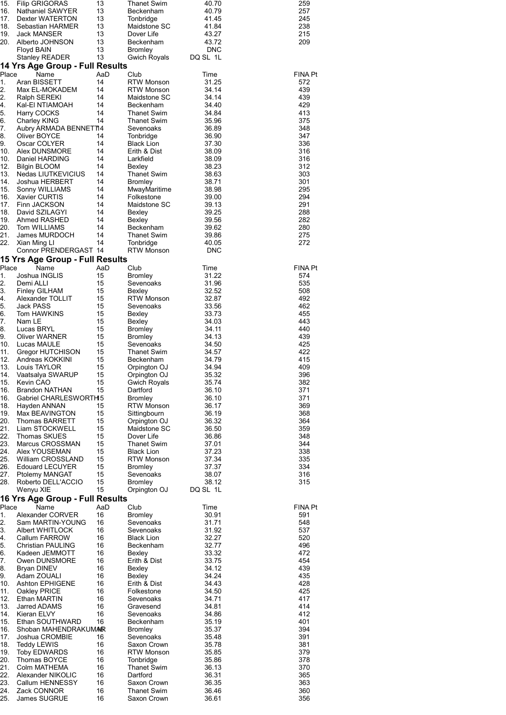| 259<br>257<br>245<br>238<br>215<br>209                                                                                                                                                              | <b>FINA Pt</b><br>572<br>439<br>439<br>429<br>413<br>375<br>348<br>347<br>336<br>316<br>316<br>312<br>303<br>301<br>295<br>294<br>291<br>288<br>282<br>280<br>275<br>272                                                                                                                                                                                                                                                                                              | <b>FINA Pt</b><br>574<br>535<br>508<br>492<br>462<br>455<br>443<br>440<br>439<br>425<br>422<br>415<br>409<br>396<br>382<br>371<br>371<br>369<br>368<br>364<br>359<br>348<br>344<br>338<br>335<br>334<br>316<br>315                                                                                                                                                                                                                                                                                                                                                                          | <b>FINA Pt</b><br>591<br>548<br>537<br>520<br>496<br>472<br>454<br>439<br>435<br>428<br>425<br>417<br>414<br>412<br>401<br>394<br>391<br>381<br>379<br>378<br>370<br>365<br>363<br>360<br>356                                                                                                                                                                                                                                                                                                  |
|-----------------------------------------------------------------------------------------------------------------------------------------------------------------------------------------------------|-----------------------------------------------------------------------------------------------------------------------------------------------------------------------------------------------------------------------------------------------------------------------------------------------------------------------------------------------------------------------------------------------------------------------------------------------------------------------|---------------------------------------------------------------------------------------------------------------------------------------------------------------------------------------------------------------------------------------------------------------------------------------------------------------------------------------------------------------------------------------------------------------------------------------------------------------------------------------------------------------------------------------------------------------------------------------------|------------------------------------------------------------------------------------------------------------------------------------------------------------------------------------------------------------------------------------------------------------------------------------------------------------------------------------------------------------------------------------------------------------------------------------------------------------------------------------------------|
| 40.70<br>40.79<br>41.45<br>41.84<br>43.27<br>43.72<br><b>DNC</b><br>DQ SL 1L                                                                                                                        | Time<br>31.25<br>34.14<br>34.14<br>34.40<br>34.84<br>35.96<br>36.89<br>36.90<br>37.30<br>38.09<br>38.09<br>38.23<br>38.63<br>38.71<br>38.98<br>39.00<br>39.13<br>39.25<br>39.56<br>39.62<br>39.86<br>40.05<br><b>DNC</b>                                                                                                                                                                                                                                              | Time<br>31.22<br>31.96<br>32.52<br>32.87<br>33.56<br>33.73<br>34.03<br>34.11<br>34.13<br>34.50<br>34.57<br>34.79<br>34.94<br>35.32<br>35.74<br>36.10<br>36.10<br>36.17<br>36.19<br>36.32<br>36.50<br>36.86<br>37.01<br>37.23<br>37.34<br>37.37<br>38.07<br>38.12<br>DQ SL 1L                                                                                                                                                                                                                                                                                                                | Time<br>30.91<br>31.71<br>31.92<br>32.27<br>32.77<br>33.32<br>33.75<br>34.12<br>34.24<br>34.43<br>34.50<br>34.71<br>34.81<br>34.86<br>35.19<br>35.37<br>35.48<br>35.78<br>35.85<br>35.86<br>36.13<br>36.31<br>36.35<br>36.46<br>36.61                                                                                                                                                                                                                                                          |
| <b>Thanet Swim</b><br>Beckenham<br>Tonbridge<br>Maidstone SC<br>Dover Life<br>Beckenham<br>Bromley<br>Gwich Royals                                                                                  | Club<br>RTW Monson<br><b>RTW Monson</b><br>Maidstone SC<br>Beckenham<br>Thanet Swim<br>Thanet Swim<br>Sevenoaks<br>Tonbridge<br>Black Lion<br>Erith & Dist<br>Larkfield<br>Bexley<br>Thanet Swim<br><b>Bromley</b><br>MwayMaritime<br>Folkestone<br>Maidstone SC<br>Bexley<br>Bexley<br>Beckenham<br>Thanet Swim<br>Tonbridge<br><b>RTW Monson</b>                                                                                                                    | Club<br>Bromley<br>Sevenoaks<br>Bexley<br>RTW Monson<br>Sevenoaks<br>Bexley<br>Bexley<br><b>Bromley</b><br><b>Bromley</b><br>Sevenoaks<br>Thanet Swim<br>Beckenham<br>Orpington OJ<br>Orpington OJ<br><b>Gwich Royals</b><br>Dartford<br><b>Bromley</b><br><b>RTW Monson</b><br>Sittingbourn<br>Orpington OJ<br>Maidstone SC<br>Dover Life<br><b>Thanet Swim</b><br><b>Black Lion</b><br><b>RTW Monson</b><br>Bromley<br>Sevenoaks<br>Bromley<br>Orpington OJ                                                                                                                               | Club<br><b>Bromley</b><br>Sevenoaks<br>Sevenoaks<br><b>Black Lion</b><br>Beckenham<br>Bexley<br>Erith & Dist<br>Bexley<br>Bexley<br>Erith & Dist<br>Folkestone<br>Sevenoaks<br>Gravesend<br>Sevenoaks<br>Beckenham<br><b>Bromley</b><br>Sevenoaks<br>Saxon Crown<br><b>RTW Monson</b><br>Tonbridge<br><b>Thanet Swim</b><br>Dartford<br>Saxon Crown<br><b>Thanet Swim</b><br>Saxon Crown                                                                                                       |
| 13<br>13<br>13<br>13<br>13<br>13<br>13<br>13                                                                                                                                                        | AaD<br>14<br>14<br>14<br>14<br>14<br>14<br>14<br>14<br>14<br>14<br>14<br>14<br>14<br>14<br>14<br>14<br>14<br>14<br>14<br>14<br>14                                                                                                                                                                                                                                                                                                                                     | AaD<br>15<br>15<br>15<br>15<br>15<br>15<br>15<br>15<br>15<br>15<br>15<br>15<br>15<br>15<br>15<br>15<br>15<br>15<br>15<br>15<br>15<br>15<br>15<br>15<br>15<br>15<br>15<br>15                                                                                                                                                                                                                                                                                                                                                                                                                 | AaD<br>16<br>16<br>16<br>16<br>16<br>16<br>16<br>16<br>16<br>16<br>16<br>16<br>16<br>16<br>16<br>16<br>16<br>16<br>16<br>16<br>16<br>16<br>16<br>16                                                                                                                                                                                                                                                                                                                                            |
| <b>Filip GRIGORAS</b><br>Nathaniel SAWYER<br>Dexter WATERTON<br>Sebastian HARMER<br><b>Jack MANSER</b><br>Alberto JOHNSON<br>Floyd BAIN<br><b>Stanley READER</b><br>14 Yrs Age Group - Full Results | Name<br>Aran BISSETT<br>Max EL-MOKADEM<br>Ralph SEREKI<br>Kal-EI NTIAMOAH<br>Harry COCKS<br>Charley KING<br>Aubry ARMADA BENNET14<br>Oliver BOYCE<br>Oscar COLYER<br>Alex DUNSMORE<br>Daniel HARDING<br><b>Bilgin BLOOM</b><br>Nedas LIUTKEVICIUS<br>Joshua HERBERT<br>Sonny WILLIAMS<br>Xavier CURTIS<br>Finn JACKSON<br>David SZILAGYI<br>Ahmed RASHED<br>Tom WILLIAMS<br>James MURDOCH<br>Xian Ming LI<br>Connor PRENDERGAST 14<br>15 Yrs Age Group - Full Results | Name<br>Joshua INGLIS<br>Demi ALLI<br><b>Finley GILHAM</b><br>Alexander TOLLIT<br>Jack PASS<br>Tom HAWKINS<br>Nam LE<br>Lucas BRYL<br><b>Oliver WARNER</b><br>Lucas MAULE<br>Gregor HUTCHISON<br>Andreas KOKKINI<br>Louis TAYLOR<br>Vaatsalya SWARUP<br>Kevin CAO<br><b>Brandon NATHAN</b><br>Gabriel CHARLESWORTH5<br>Hayden ANNAN<br>Max BEAVINGTON<br><b>Thomas BARRETT</b><br>Liam STOCKWELL<br>Thomas SKUES<br>Marcus CROSSMAN<br>Alex YOUSEMAN<br>William CROSSLAND<br><b>Edouard LECUYER</b><br>Ptolemy MANGAT<br>Roberto DELL'ACCIO<br>Wenyu XIE<br>16 Yrs Age Group - Full Results | Name<br>Alexander CORVER<br>Sam MARTIN-YOUNG<br>Albert WHITLOCK<br>Callum FARROW<br><b>Christian PAULING</b><br>Kadeen JEMMOTT<br>Owen DUNSMORE<br>Bryan DINEV<br>Adam ZOUALI<br><b>Ashton EPHIGENE</b><br>Oakley PRICE<br>Ethan MARTIN<br>Jarred ADAMS<br>Kieran ELVY<br>Ethan SOUTHWARD<br>Shoban MAHENDRAKUMAR<br>Joshua CROMBIE<br><b>Teddy LEWIS</b><br><b>Toby EDWARDS</b><br><b>Thomas BOYCE</b><br>Colm MATHEMA<br>Alexander NIKOLIC<br>Callum HENNESSY<br>Zack CONNOR<br>James SUGRUE |
| 15.<br>16.<br>17.<br>18.<br>19.<br>20.                                                                                                                                                              | Place<br>1.<br>2.<br>2.<br>4.<br>5.<br>6.<br>7.<br>8.<br>9.<br>10.<br>10.<br>12.<br>13.<br>14.<br>15.<br>16.<br>17.<br>18.<br>19.<br>20.<br>21.<br>22.                                                                                                                                                                                                                                                                                                                | Place<br>1.<br>2.<br>3.<br>4.<br>5.<br>6.<br>7.<br>8.<br>9.<br>10.<br>11.<br>12.<br>13.<br>14.<br>15.<br>16.<br>16.<br>18.<br>19.<br>20.<br>21.<br>22.<br>23.<br>24.<br>25.<br>26.<br>27.<br>28.                                                                                                                                                                                                                                                                                                                                                                                            | Place<br>1.<br>2.<br>3.<br>4.<br>5.<br>6.<br>7.<br>8.<br>9.<br>10.<br>11.<br>12.<br>13.<br>14.<br>15.<br>16.<br>17.<br>18.<br>19.<br>20.<br>21.<br>22.<br>23.<br>24.<br>25.                                                                                                                                                                                                                                                                                                                    |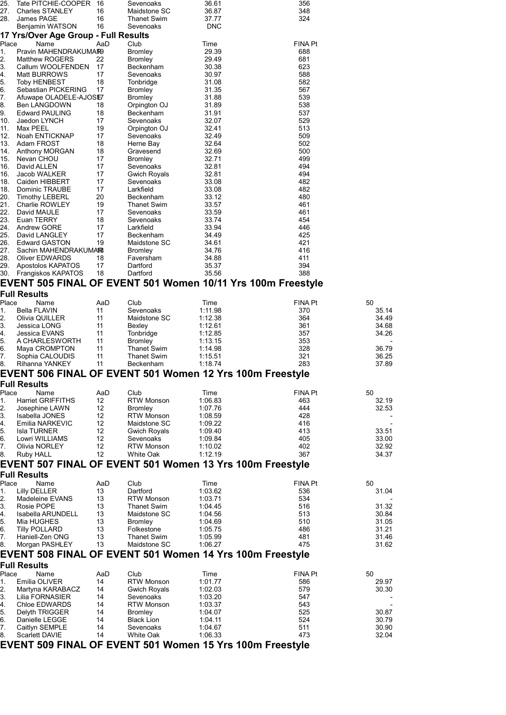| Benjamin WATSON                                                            | 16                                                                                                                                                                                                                                                                                                                                                                                                                                                      | Sevenoaks                                                                                                                                                                                                                     | <b>DNC</b>                                                                                                                                                                                                                                                                                                                                                                                                                   |                                                                                                                                                                                                                                                            |                                                                                                                                                                                                                                                                                                                                                                                                |
|----------------------------------------------------------------------------|---------------------------------------------------------------------------------------------------------------------------------------------------------------------------------------------------------------------------------------------------------------------------------------------------------------------------------------------------------------------------------------------------------------------------------------------------------|-------------------------------------------------------------------------------------------------------------------------------------------------------------------------------------------------------------------------------|------------------------------------------------------------------------------------------------------------------------------------------------------------------------------------------------------------------------------------------------------------------------------------------------------------------------------------------------------------------------------------------------------------------------------|------------------------------------------------------------------------------------------------------------------------------------------------------------------------------------------------------------------------------------------------------------|------------------------------------------------------------------------------------------------------------------------------------------------------------------------------------------------------------------------------------------------------------------------------------------------------------------------------------------------------------------------------------------------|
|                                                                            |                                                                                                                                                                                                                                                                                                                                                                                                                                                         |                                                                                                                                                                                                                               |                                                                                                                                                                                                                                                                                                                                                                                                                              |                                                                                                                                                                                                                                                            |                                                                                                                                                                                                                                                                                                                                                                                                |
| Place<br>Name                                                              | AaD                                                                                                                                                                                                                                                                                                                                                                                                                                                     | Club                                                                                                                                                                                                                          | Time                                                                                                                                                                                                                                                                                                                                                                                                                         | <b>FINA Pt</b>                                                                                                                                                                                                                                             |                                                                                                                                                                                                                                                                                                                                                                                                |
|                                                                            |                                                                                                                                                                                                                                                                                                                                                                                                                                                         | <b>Bromley</b>                                                                                                                                                                                                                |                                                                                                                                                                                                                                                                                                                                                                                                                              |                                                                                                                                                                                                                                                            |                                                                                                                                                                                                                                                                                                                                                                                                |
|                                                                            |                                                                                                                                                                                                                                                                                                                                                                                                                                                         |                                                                                                                                                                                                                               |                                                                                                                                                                                                                                                                                                                                                                                                                              |                                                                                                                                                                                                                                                            |                                                                                                                                                                                                                                                                                                                                                                                                |
|                                                                            |                                                                                                                                                                                                                                                                                                                                                                                                                                                         |                                                                                                                                                                                                                               |                                                                                                                                                                                                                                                                                                                                                                                                                              |                                                                                                                                                                                                                                                            |                                                                                                                                                                                                                                                                                                                                                                                                |
|                                                                            | 18                                                                                                                                                                                                                                                                                                                                                                                                                                                      | Tonbridge                                                                                                                                                                                                                     | 31.08                                                                                                                                                                                                                                                                                                                                                                                                                        | 582                                                                                                                                                                                                                                                        |                                                                                                                                                                                                                                                                                                                                                                                                |
| Sebastian PICKERING                                                        | 17                                                                                                                                                                                                                                                                                                                                                                                                                                                      | Bromley                                                                                                                                                                                                                       | 31.35                                                                                                                                                                                                                                                                                                                                                                                                                        | 567                                                                                                                                                                                                                                                        |                                                                                                                                                                                                                                                                                                                                                                                                |
|                                                                            |                                                                                                                                                                                                                                                                                                                                                                                                                                                         | Bromley                                                                                                                                                                                                                       | 31.88                                                                                                                                                                                                                                                                                                                                                                                                                        |                                                                                                                                                                                                                                                            |                                                                                                                                                                                                                                                                                                                                                                                                |
|                                                                            |                                                                                                                                                                                                                                                                                                                                                                                                                                                         |                                                                                                                                                                                                                               |                                                                                                                                                                                                                                                                                                                                                                                                                              |                                                                                                                                                                                                                                                            |                                                                                                                                                                                                                                                                                                                                                                                                |
|                                                                            |                                                                                                                                                                                                                                                                                                                                                                                                                                                         |                                                                                                                                                                                                                               |                                                                                                                                                                                                                                                                                                                                                                                                                              |                                                                                                                                                                                                                                                            |                                                                                                                                                                                                                                                                                                                                                                                                |
| Max PEEL                                                                   | 19                                                                                                                                                                                                                                                                                                                                                                                                                                                      | Orpington OJ                                                                                                                                                                                                                  | 32.41                                                                                                                                                                                                                                                                                                                                                                                                                        | 513                                                                                                                                                                                                                                                        |                                                                                                                                                                                                                                                                                                                                                                                                |
| Noah ENTICKNAP                                                             | 17                                                                                                                                                                                                                                                                                                                                                                                                                                                      | Sevenoaks                                                                                                                                                                                                                     | 32.49                                                                                                                                                                                                                                                                                                                                                                                                                        | 509                                                                                                                                                                                                                                                        |                                                                                                                                                                                                                                                                                                                                                                                                |
| Adam FROST                                                                 |                                                                                                                                                                                                                                                                                                                                                                                                                                                         | Herne Bay                                                                                                                                                                                                                     |                                                                                                                                                                                                                                                                                                                                                                                                                              |                                                                                                                                                                                                                                                            |                                                                                                                                                                                                                                                                                                                                                                                                |
|                                                                            |                                                                                                                                                                                                                                                                                                                                                                                                                                                         |                                                                                                                                                                                                                               |                                                                                                                                                                                                                                                                                                                                                                                                                              |                                                                                                                                                                                                                                                            |                                                                                                                                                                                                                                                                                                                                                                                                |
|                                                                            |                                                                                                                                                                                                                                                                                                                                                                                                                                                         |                                                                                                                                                                                                                               |                                                                                                                                                                                                                                                                                                                                                                                                                              |                                                                                                                                                                                                                                                            |                                                                                                                                                                                                                                                                                                                                                                                                |
| Jacob WALKER                                                               | 17                                                                                                                                                                                                                                                                                                                                                                                                                                                      |                                                                                                                                                                                                                               | 32.81                                                                                                                                                                                                                                                                                                                                                                                                                        | 494                                                                                                                                                                                                                                                        |                                                                                                                                                                                                                                                                                                                                                                                                |
| Caiden HIBBERT                                                             | 17                                                                                                                                                                                                                                                                                                                                                                                                                                                      | Sevenoaks                                                                                                                                                                                                                     | 33.08                                                                                                                                                                                                                                                                                                                                                                                                                        | 482                                                                                                                                                                                                                                                        |                                                                                                                                                                                                                                                                                                                                                                                                |
| Dominic TRAUBE                                                             | 17                                                                                                                                                                                                                                                                                                                                                                                                                                                      | Larkfield                                                                                                                                                                                                                     | 33.08                                                                                                                                                                                                                                                                                                                                                                                                                        | 482                                                                                                                                                                                                                                                        |                                                                                                                                                                                                                                                                                                                                                                                                |
| <b>Timothy LEBERL</b>                                                      |                                                                                                                                                                                                                                                                                                                                                                                                                                                         | Beckenham                                                                                                                                                                                                                     | 33.12                                                                                                                                                                                                                                                                                                                                                                                                                        |                                                                                                                                                                                                                                                            |                                                                                                                                                                                                                                                                                                                                                                                                |
|                                                                            |                                                                                                                                                                                                                                                                                                                                                                                                                                                         |                                                                                                                                                                                                                               |                                                                                                                                                                                                                                                                                                                                                                                                                              |                                                                                                                                                                                                                                                            |                                                                                                                                                                                                                                                                                                                                                                                                |
| Euan TERRY                                                                 |                                                                                                                                                                                                                                                                                                                                                                                                                                                         | Sevenoaks                                                                                                                                                                                                                     |                                                                                                                                                                                                                                                                                                                                                                                                                              |                                                                                                                                                                                                                                                            |                                                                                                                                                                                                                                                                                                                                                                                                |
| <b>Andrew GORE</b>                                                         | 17                                                                                                                                                                                                                                                                                                                                                                                                                                                      | Larkfield                                                                                                                                                                                                                     | 33.94                                                                                                                                                                                                                                                                                                                                                                                                                        | 446                                                                                                                                                                                                                                                        |                                                                                                                                                                                                                                                                                                                                                                                                |
| David LANGLEY                                                              | 17                                                                                                                                                                                                                                                                                                                                                                                                                                                      | Beckenham                                                                                                                                                                                                                     | 34.49                                                                                                                                                                                                                                                                                                                                                                                                                        | 425                                                                                                                                                                                                                                                        |                                                                                                                                                                                                                                                                                                                                                                                                |
| <b>Edward GASTON</b>                                                       | 19                                                                                                                                                                                                                                                                                                                                                                                                                                                      | Maidstone SC                                                                                                                                                                                                                  | 34.61                                                                                                                                                                                                                                                                                                                                                                                                                        | 421                                                                                                                                                                                                                                                        |                                                                                                                                                                                                                                                                                                                                                                                                |
|                                                                            |                                                                                                                                                                                                                                                                                                                                                                                                                                                         |                                                                                                                                                                                                                               |                                                                                                                                                                                                                                                                                                                                                                                                                              |                                                                                                                                                                                                                                                            |                                                                                                                                                                                                                                                                                                                                                                                                |
|                                                                            |                                                                                                                                                                                                                                                                                                                                                                                                                                                         |                                                                                                                                                                                                                               |                                                                                                                                                                                                                                                                                                                                                                                                                              |                                                                                                                                                                                                                                                            |                                                                                                                                                                                                                                                                                                                                                                                                |
| Frangiskos KAPATOS                                                         | 18                                                                                                                                                                                                                                                                                                                                                                                                                                                      | Dartford                                                                                                                                                                                                                      | 35.56                                                                                                                                                                                                                                                                                                                                                                                                                        | 388                                                                                                                                                                                                                                                        |                                                                                                                                                                                                                                                                                                                                                                                                |
|                                                                            |                                                                                                                                                                                                                                                                                                                                                                                                                                                         |                                                                                                                                                                                                                               |                                                                                                                                                                                                                                                                                                                                                                                                                              |                                                                                                                                                                                                                                                            |                                                                                                                                                                                                                                                                                                                                                                                                |
|                                                                            |                                                                                                                                                                                                                                                                                                                                                                                                                                                         |                                                                                                                                                                                                                               |                                                                                                                                                                                                                                                                                                                                                                                                                              |                                                                                                                                                                                                                                                            |                                                                                                                                                                                                                                                                                                                                                                                                |
| Place<br>Name                                                              | AaD                                                                                                                                                                                                                                                                                                                                                                                                                                                     | Club                                                                                                                                                                                                                          |                                                                                                                                                                                                                                                                                                                                                                                                                              | <b>FINA Pt</b>                                                                                                                                                                                                                                             | 50                                                                                                                                                                                                                                                                                                                                                                                             |
| Bella FLAVIN                                                               | 11                                                                                                                                                                                                                                                                                                                                                                                                                                                      | Sevenoaks                                                                                                                                                                                                                     | 1:11.98                                                                                                                                                                                                                                                                                                                                                                                                                      | 370                                                                                                                                                                                                                                                        | 35.14                                                                                                                                                                                                                                                                                                                                                                                          |
| Olivia QUILLER                                                             | 11                                                                                                                                                                                                                                                                                                                                                                                                                                                      | Maidstone SC                                                                                                                                                                                                                  | 1:12.38                                                                                                                                                                                                                                                                                                                                                                                                                      | 364                                                                                                                                                                                                                                                        | 34.49                                                                                                                                                                                                                                                                                                                                                                                          |
| Jessica LONG                                                               | 11                                                                                                                                                                                                                                                                                                                                                                                                                                                      | Bexley                                                                                                                                                                                                                        | 1:12.61                                                                                                                                                                                                                                                                                                                                                                                                                      | 361                                                                                                                                                                                                                                                        | 34.68                                                                                                                                                                                                                                                                                                                                                                                          |
|                                                                            |                                                                                                                                                                                                                                                                                                                                                                                                                                                         |                                                                                                                                                                                                                               |                                                                                                                                                                                                                                                                                                                                                                                                                              |                                                                                                                                                                                                                                                            | 34.26                                                                                                                                                                                                                                                                                                                                                                                          |
|                                                                            |                                                                                                                                                                                                                                                                                                                                                                                                                                                         |                                                                                                                                                                                                                               |                                                                                                                                                                                                                                                                                                                                                                                                                              |                                                                                                                                                                                                                                                            | 36.79                                                                                                                                                                                                                                                                                                                                                                                          |
| Sophia CALOUDIS                                                            | 11                                                                                                                                                                                                                                                                                                                                                                                                                                                      | <b>Thanet Swim</b>                                                                                                                                                                                                            | 1:15.51                                                                                                                                                                                                                                                                                                                                                                                                                      | 321                                                                                                                                                                                                                                                        | 36.25                                                                                                                                                                                                                                                                                                                                                                                          |
| Rihanna YANKEY                                                             | 11                                                                                                                                                                                                                                                                                                                                                                                                                                                      | Beckenham                                                                                                                                                                                                                     | 1:18.74                                                                                                                                                                                                                                                                                                                                                                                                                      | 283                                                                                                                                                                                                                                                        | 37.89                                                                                                                                                                                                                                                                                                                                                                                          |
|                                                                            |                                                                                                                                                                                                                                                                                                                                                                                                                                                         |                                                                                                                                                                                                                               |                                                                                                                                                                                                                                                                                                                                                                                                                              |                                                                                                                                                                                                                                                            |                                                                                                                                                                                                                                                                                                                                                                                                |
| <b>Full Results</b>                                                        |                                                                                                                                                                                                                                                                                                                                                                                                                                                         |                                                                                                                                                                                                                               |                                                                                                                                                                                                                                                                                                                                                                                                                              |                                                                                                                                                                                                                                                            |                                                                                                                                                                                                                                                                                                                                                                                                |
| Place<br>Name                                                              | AaD                                                                                                                                                                                                                                                                                                                                                                                                                                                     | Club                                                                                                                                                                                                                          | Time                                                                                                                                                                                                                                                                                                                                                                                                                         | <b>FINA Pt</b>                                                                                                                                                                                                                                             | 50                                                                                                                                                                                                                                                                                                                                                                                             |
| <b>Harriet GRIFFITHS</b>                                                   | 12                                                                                                                                                                                                                                                                                                                                                                                                                                                      | <b>RTW Monson</b>                                                                                                                                                                                                             | 1:06.83                                                                                                                                                                                                                                                                                                                                                                                                                      | 463                                                                                                                                                                                                                                                        | 32.19                                                                                                                                                                                                                                                                                                                                                                                          |
| Josephine LAWN                                                             |                                                                                                                                                                                                                                                                                                                                                                                                                                                         |                                                                                                                                                                                                                               |                                                                                                                                                                                                                                                                                                                                                                                                                              |                                                                                                                                                                                                                                                            | 32.53                                                                                                                                                                                                                                                                                                                                                                                          |
|                                                                            |                                                                                                                                                                                                                                                                                                                                                                                                                                                         |                                                                                                                                                                                                                               |                                                                                                                                                                                                                                                                                                                                                                                                                              |                                                                                                                                                                                                                                                            |                                                                                                                                                                                                                                                                                                                                                                                                |
| <b>Isla TURNER</b>                                                         | 12                                                                                                                                                                                                                                                                                                                                                                                                                                                      | <b>Gwich Royals</b>                                                                                                                                                                                                           | 1:09.40                                                                                                                                                                                                                                                                                                                                                                                                                      | 413                                                                                                                                                                                                                                                        | 33.51                                                                                                                                                                                                                                                                                                                                                                                          |
| Lowri WILLIAMS                                                             | 12                                                                                                                                                                                                                                                                                                                                                                                                                                                      | Sevenoaks                                                                                                                                                                                                                     | 1:09.84                                                                                                                                                                                                                                                                                                                                                                                                                      | 405                                                                                                                                                                                                                                                        | 33.00                                                                                                                                                                                                                                                                                                                                                                                          |
| Olivia NORLEY                                                              | 12                                                                                                                                                                                                                                                                                                                                                                                                                                                      | <b>RTW Monson</b>                                                                                                                                                                                                             | 1:10.02                                                                                                                                                                                                                                                                                                                                                                                                                      | 402                                                                                                                                                                                                                                                        | 32.92                                                                                                                                                                                                                                                                                                                                                                                          |
| Ruby HALL                                                                  | 12                                                                                                                                                                                                                                                                                                                                                                                                                                                      | White Oak                                                                                                                                                                                                                     | 1:12.19                                                                                                                                                                                                                                                                                                                                                                                                                      |                                                                                                                                                                                                                                                            | 34.37                                                                                                                                                                                                                                                                                                                                                                                          |
|                                                                            |                                                                                                                                                                                                                                                                                                                                                                                                                                                         |                                                                                                                                                                                                                               |                                                                                                                                                                                                                                                                                                                                                                                                                              |                                                                                                                                                                                                                                                            |                                                                                                                                                                                                                                                                                                                                                                                                |
|                                                                            |                                                                                                                                                                                                                                                                                                                                                                                                                                                         |                                                                                                                                                                                                                               |                                                                                                                                                                                                                                                                                                                                                                                                                              |                                                                                                                                                                                                                                                            |                                                                                                                                                                                                                                                                                                                                                                                                |
| <b>Full Results</b>                                                        |                                                                                                                                                                                                                                                                                                                                                                                                                                                         |                                                                                                                                                                                                                               |                                                                                                                                                                                                                                                                                                                                                                                                                              |                                                                                                                                                                                                                                                            |                                                                                                                                                                                                                                                                                                                                                                                                |
| Place<br>Name                                                              | AaD                                                                                                                                                                                                                                                                                                                                                                                                                                                     | Club                                                                                                                                                                                                                          | Time                                                                                                                                                                                                                                                                                                                                                                                                                         | <b>FINA Pt</b>                                                                                                                                                                                                                                             | 50                                                                                                                                                                                                                                                                                                                                                                                             |
| Lilly DELLER                                                               | 13                                                                                                                                                                                                                                                                                                                                                                                                                                                      | Dartford                                                                                                                                                                                                                      | 1:03.62                                                                                                                                                                                                                                                                                                                                                                                                                      | 536                                                                                                                                                                                                                                                        | 31.04                                                                                                                                                                                                                                                                                                                                                                                          |
| Madeleine EVANS                                                            | 13                                                                                                                                                                                                                                                                                                                                                                                                                                                      | <b>RTW Monson</b>                                                                                                                                                                                                             | 1:03.71                                                                                                                                                                                                                                                                                                                                                                                                                      | 534                                                                                                                                                                                                                                                        |                                                                                                                                                                                                                                                                                                                                                                                                |
| Rosie POPE                                                                 | 13                                                                                                                                                                                                                                                                                                                                                                                                                                                      | Thanet Swim                                                                                                                                                                                                                   | 1:04.45                                                                                                                                                                                                                                                                                                                                                                                                                      | 516                                                                                                                                                                                                                                                        | 31.32                                                                                                                                                                                                                                                                                                                                                                                          |
| Isabella ARUNDELL                                                          | 13                                                                                                                                                                                                                                                                                                                                                                                                                                                      | Maidstone SC                                                                                                                                                                                                                  | 1:04.56                                                                                                                                                                                                                                                                                                                                                                                                                      | 513                                                                                                                                                                                                                                                        | 30.84                                                                                                                                                                                                                                                                                                                                                                                          |
| Mia HUGHES<br><b>Tilly POLLARD</b>                                         | 13<br>13                                                                                                                                                                                                                                                                                                                                                                                                                                                | <b>Bromley</b><br>Folkestone                                                                                                                                                                                                  | 1:04.69<br>1:05.75                                                                                                                                                                                                                                                                                                                                                                                                           | 510<br>486                                                                                                                                                                                                                                                 | 31.05<br>31.21                                                                                                                                                                                                                                                                                                                                                                                 |
| Haniell-Zen ONG                                                            | 13                                                                                                                                                                                                                                                                                                                                                                                                                                                      | <b>Thanet Swim</b>                                                                                                                                                                                                            | 1:05.99                                                                                                                                                                                                                                                                                                                                                                                                                      | 481                                                                                                                                                                                                                                                        | 31.46                                                                                                                                                                                                                                                                                                                                                                                          |
| Morgan PASHLEY                                                             | 13                                                                                                                                                                                                                                                                                                                                                                                                                                                      | Maidstone SC                                                                                                                                                                                                                  | 1:06.27                                                                                                                                                                                                                                                                                                                                                                                                                      | 475                                                                                                                                                                                                                                                        | 31.62                                                                                                                                                                                                                                                                                                                                                                                          |
| EVENT 508 FINAL OF EVENT 501 Women 14 Yrs 100m Freestyle                   |                                                                                                                                                                                                                                                                                                                                                                                                                                                         |                                                                                                                                                                                                                               |                                                                                                                                                                                                                                                                                                                                                                                                                              |                                                                                                                                                                                                                                                            |                                                                                                                                                                                                                                                                                                                                                                                                |
| <b>Full Results</b>                                                        |                                                                                                                                                                                                                                                                                                                                                                                                                                                         |                                                                                                                                                                                                                               |                                                                                                                                                                                                                                                                                                                                                                                                                              |                                                                                                                                                                                                                                                            |                                                                                                                                                                                                                                                                                                                                                                                                |
| Place<br>Name                                                              | AaD                                                                                                                                                                                                                                                                                                                                                                                                                                                     | Club                                                                                                                                                                                                                          | Time                                                                                                                                                                                                                                                                                                                                                                                                                         | <b>FINA Pt</b>                                                                                                                                                                                                                                             | 50                                                                                                                                                                                                                                                                                                                                                                                             |
| Emilia OLIVER                                                              | 14                                                                                                                                                                                                                                                                                                                                                                                                                                                      | <b>RTW Monson</b>                                                                                                                                                                                                             | 1:01.77                                                                                                                                                                                                                                                                                                                                                                                                                      | 586                                                                                                                                                                                                                                                        | 29.97                                                                                                                                                                                                                                                                                                                                                                                          |
| Martyna KARABACZ                                                           | 14                                                                                                                                                                                                                                                                                                                                                                                                                                                      | <b>Gwich Royals</b>                                                                                                                                                                                                           | 1:02.03                                                                                                                                                                                                                                                                                                                                                                                                                      | 579                                                                                                                                                                                                                                                        | 30.30                                                                                                                                                                                                                                                                                                                                                                                          |
| Lilia FORNASIER                                                            | 14                                                                                                                                                                                                                                                                                                                                                                                                                                                      | Sevenoaks                                                                                                                                                                                                                     | 1:03.20                                                                                                                                                                                                                                                                                                                                                                                                                      | 547                                                                                                                                                                                                                                                        |                                                                                                                                                                                                                                                                                                                                                                                                |
| Chloe EDWARDS                                                              | 14                                                                                                                                                                                                                                                                                                                                                                                                                                                      | <b>RTW Monson</b>                                                                                                                                                                                                             | 1:03.37                                                                                                                                                                                                                                                                                                                                                                                                                      | 543                                                                                                                                                                                                                                                        |                                                                                                                                                                                                                                                                                                                                                                                                |
| Delyth TRIGGER<br>Danielle LEGGE                                           | 14<br>14                                                                                                                                                                                                                                                                                                                                                                                                                                                | <b>Bromley</b><br><b>Black Lion</b>                                                                                                                                                                                           | 1:04.07<br>1:04.11                                                                                                                                                                                                                                                                                                                                                                                                           | 525<br>524                                                                                                                                                                                                                                                 | 30.87<br>30.79                                                                                                                                                                                                                                                                                                                                                                                 |
| Caitlyn SEMPLE                                                             | 14                                                                                                                                                                                                                                                                                                                                                                                                                                                      | Sevenoaks                                                                                                                                                                                                                     | 1:04.67                                                                                                                                                                                                                                                                                                                                                                                                                      | 511                                                                                                                                                                                                                                                        | 30.90                                                                                                                                                                                                                                                                                                                                                                                          |
| Scarlett DAVIE<br>EVENT 509 FINAL OF EVENT 501 Women 15 Yrs 100m Freestyle | 14                                                                                                                                                                                                                                                                                                                                                                                                                                                      | White Oak                                                                                                                                                                                                                     | 1:06.33                                                                                                                                                                                                                                                                                                                                                                                                                      | 473                                                                                                                                                                                                                                                        | 32.04                                                                                                                                                                                                                                                                                                                                                                                          |
|                                                                            | Tate PITCHIE-COOPER<br><b>Charles STANLEY</b><br>James PAGE<br><b>Matthew ROGERS</b><br>Callum WOOLFENDEN<br>Matt BURROWS<br><b>Toby HENBEST</b><br>Ben LANGDOWN<br><b>Edward PAULING</b><br>Jaedon LYNCH<br>Anthony MORGAN<br>Nevan CHOU<br>David ALLEN<br>Charlie ROWLEY<br>David MAULE<br><b>Oliver EDWARDS</b><br>Apostolos KAPATOS<br><b>Full Results</b><br>Jessica EVANS<br>A CHARLESWORTH<br>Maya CROMPTON<br>Isabella JONES<br>Emilia NARKEVIC | 16<br>16<br>16<br>Pravin MAHENDRAKUMAR9<br>22<br>17<br>17<br>Afuwape OLADELE-AJOSE7<br>18<br>18<br>17<br>18<br>18<br>17<br>17<br>20<br>19<br>17<br>18<br>Sachin MAHENDRAKUMAR<br>18<br>17<br>11<br>11<br>11<br>12<br>12<br>12 | Sevenoaks<br>Maidstone SC<br><b>Thanet Swim</b><br>17 Yrs/Over Age Group - Full Results<br><b>Bromley</b><br>Beckenham<br>Sevenoaks<br>Orpington OJ<br>Beckenham<br>Sevenoaks<br>Gravesend<br><b>Bromley</b><br>Sevenoaks<br><b>Gwich Royals</b><br><b>Thanet Swim</b><br>Sevenoaks<br><b>Bromley</b><br>Faversham<br>Dartford<br>Tonbridge<br>Bromley<br><b>Thanet Swim</b><br><b>Bromley</b><br>RTW Monson<br>Maidstone SC | 36.61<br>36.87<br>37.77<br>29.39<br>29.49<br>30.38<br>30.97<br>31.89<br>31.91<br>32.07<br>32.64<br>32.69<br>32.71<br>32.81<br>33.57<br>33.59<br>33.74<br>34.76<br>34.88<br>35.37<br>Time<br>1:12.85<br>1:13.15<br>1:14.98<br>1:07.76<br>1:08.59<br>1:09.22 | 356<br>348<br>324<br>688<br>681<br>623<br>588<br>539<br>538<br>537<br>529<br>502<br>500<br>499<br>494<br>480<br>461<br>461<br>454<br>416<br>411<br>394<br>EVENT 505 FINAL OF EVENT 501 Women 10/11 Yrs 100m Freestyle<br>357<br>353<br>328<br>EVENT 506 FINAL OF EVENT 501 Women 12 Yrs 100m Freestyle<br>444<br>428<br>416<br>367<br>EVENT 507 FINAL OF EVENT 501 Women 13 Yrs 100m Freestyle |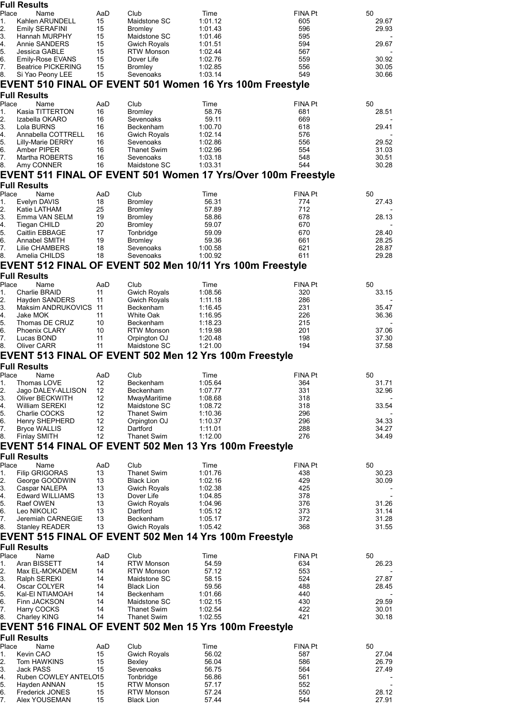|                                                                                                                                                           | <b>Full Results</b>                                       |           |                                        |                    |                                                               |                |
|-----------------------------------------------------------------------------------------------------------------------------------------------------------|-----------------------------------------------------------|-----------|----------------------------------------|--------------------|---------------------------------------------------------------|----------------|
| Place<br>1.                                                                                                                                               | Name<br>Kahlen ARUNDELL                                   | AaD<br>15 | Club<br>Maidstone SC                   | Time<br>1:01.12    | <b>FINA Pt</b><br>605                                         | 50<br>29.67    |
| 2.                                                                                                                                                        | <b>Emily SERAFINI</b>                                     | 15        | <b>Bromley</b>                         | 1:01.43            | 596                                                           | 29.93          |
| 3.                                                                                                                                                        | Hannah MURPHY                                             | 15        | Maidstone SC                           | 1:01.46            | 595                                                           |                |
| 4.                                                                                                                                                        | Annie SANDERS                                             | 15        | Gwich Royals                           | 1:01.51            | 594                                                           | 29.67          |
| 5.                                                                                                                                                        | Jessica GABLE                                             | 15        | <b>RTW Monson</b>                      | 1:02.44            | 567                                                           |                |
| 6.<br>7.                                                                                                                                                  | Emily-Rose EVANS<br><b>Beatrice PICKERING</b>             | 15<br>15  | Dover Life<br><b>Bromley</b>           | 1:02.76<br>1:02.85 | 559<br>556                                                    | 30.92<br>30.05 |
| 8.                                                                                                                                                        | Si Yao Peony LEE                                          | 15        | Sevenoaks                              | 1:03.14            | 549                                                           | 30.66          |
|                                                                                                                                                           | EVENT 510 FINAL OF EVENT 501 Women 16 Yrs 100m Freestyle  |           |                                        |                    |                                                               |                |
|                                                                                                                                                           | <b>Full Results</b>                                       |           |                                        |                    |                                                               |                |
| Place                                                                                                                                                     | Name                                                      | AaD       | Club                                   | Time               | <b>FINA Pt</b>                                                | 50             |
| 1.                                                                                                                                                        | Kasia TITTERTON                                           | 16        | <b>Bromley</b>                         | 58.76              | 681                                                           | 28.51          |
| 2.                                                                                                                                                        | Izabella OKARO                                            | 16        | Sevenoaks                              | 59.11              | 669                                                           |                |
| 3.                                                                                                                                                        | Lola BURNS                                                | 16        | Beckenham                              | 1:00.70            | 618                                                           | 29.41          |
| 4.<br>5.                                                                                                                                                  | Annabella COTTRELL<br><b>Lilly-Marie DERRY</b>            | 16<br>16  | Gwich Royals<br>Sevenoaks              | 1:02.14<br>1:02.86 | 576<br>556                                                    | 29.52          |
| 6.                                                                                                                                                        | Amber PIPER                                               | 16        | <b>Thanet Swim</b>                     | 1:02.96            | 554                                                           | 31.03          |
| 7.                                                                                                                                                        | Martha ROBERTS                                            | 16        | Sevenoaks                              | 1:03.18            | 548                                                           | 30.51          |
| 8.                                                                                                                                                        | Amy CONNER                                                | 16        | Maidstone SC                           | 1:03.31            | 544                                                           | 30.28          |
|                                                                                                                                                           |                                                           |           |                                        |                    | EVENT 511 FINAL OF EVENT 501 Women 17 Yrs/Over 100m Freestyle |                |
|                                                                                                                                                           | <b>Full Results</b>                                       |           |                                        |                    |                                                               |                |
| Place                                                                                                                                                     | Name                                                      | AaD       | Club                                   | Time               | <b>FINA Pt</b>                                                | 50             |
| 1.                                                                                                                                                        | Evelyn DAVIS                                              | 18        | Bromley                                | 56.31              | 774                                                           | 27.43          |
| 2.<br>3.                                                                                                                                                  | Katie LATHAM<br>Emma VAN SELM                             | 25<br>19  | Bromley<br><b>Bromley</b>              | 57.89<br>58.86     | 712<br>678                                                    | 28.13          |
| 4.                                                                                                                                                        | <b>Tiegan CHILD</b>                                       | 20        | <b>Bromley</b>                         | 59.07              | 670                                                           |                |
| 5.                                                                                                                                                        | Caitlin EBBAGE                                            | 17        | Tonbridge                              | 59.09              | 670                                                           | 28.40          |
| 6.                                                                                                                                                        | Annabel SMITH                                             | 19        | <b>Bromley</b>                         | 59.36              | 661                                                           | 28.25          |
| 7.                                                                                                                                                        | Lilie CHAMBERS                                            | 18        | Sevenoaks                              | 1:00.58            | 621                                                           | 28.87          |
| 8.                                                                                                                                                        | Amelia CHILDS                                             | 18        | Sevenoaks                              | 1:00.92            | 611                                                           | 29.28          |
|                                                                                                                                                           | EVENT 512 FINAL OF EVENT 502 Men 10/11 Yrs 100m Freestyle |           |                                        |                    |                                                               |                |
|                                                                                                                                                           | <b>Full Results</b>                                       |           |                                        |                    |                                                               |                |
| Place                                                                                                                                                     | Name                                                      | AaD       | Club                                   | Time               | FINA Pt                                                       | 50             |
| 1.                                                                                                                                                        | Charlie BRAID                                             | 11        | Gwich Royals                           | 1:08.56            | 320                                                           | 33.15          |
| 2.<br>3.                                                                                                                                                  | Hayden SANDERS<br>Maksim ANDRUKOVICS 11                   | 11        | Gwich Royals<br>Beckenham              | 1:11.18<br>1:16.45 | 286<br>231                                                    | 35.47          |
| 4.                                                                                                                                                        | Jake MOK                                                  | 11        | White Oak                              | 1:16.95            | 226                                                           | 36.36          |
| 5.                                                                                                                                                        | Thomas DE CRUZ                                            | 10        | Beckenham                              | 1:18.23            | 215                                                           |                |
| 6.                                                                                                                                                        | <b>Phoenix CLARY</b>                                      | 10        | <b>RTW Monson</b>                      | 1:19.98            | 201                                                           | 37.06          |
| 7.                                                                                                                                                        | Lucas BOND                                                | 11        | Orpington OJ                           | 1:20.48            | 198                                                           | 37.30          |
| 8.                                                                                                                                                        | <b>Oliver CARR</b>                                        | 11        | Maidstone SC                           | 1:21.00            | 194                                                           | 37.58          |
|                                                                                                                                                           | EVENT 513 FINAL OF EVENT 502 Men 12 Yrs 100m Freestyle    |           |                                        |                    |                                                               |                |
|                                                                                                                                                           |                                                           |           |                                        |                    |                                                               |                |
|                                                                                                                                                           | <b>Full Results</b>                                       |           |                                        |                    |                                                               |                |
| Place                                                                                                                                                     | Name                                                      | AaD       | Club                                   | Time               | <b>FINA Pt</b>                                                | 50             |
|                                                                                                                                                           | Thomas LOVE                                               | 12        | Beckenham                              | 1:05.64            | 364                                                           | 31.71          |
|                                                                                                                                                           | Jago DALEY-ALLISON                                        | 12        | Beckenham                              | 1:07.77            | 331                                                           | 32.96          |
|                                                                                                                                                           | Oliver BECKWITH                                           | 12        | MwayMaritime                           | 1:08.68<br>1:08.72 | 318                                                           |                |
|                                                                                                                                                           | William SEREKI<br>Charlie COCKS                           | 12<br>12  | Maidstone SC<br><b>Thanet Swim</b>     | 1:10.36            | 318<br>296                                                    | 33.54          |
|                                                                                                                                                           | Henry SHEPHERD                                            | 12        | Orpington OJ                           | 1:10.37            | 296                                                           | 34.33          |
| 7.                                                                                                                                                        | <b>Bryce WALLIS</b>                                       | 12        | Dartford                               | 1:11.01            | 288                                                           | 34.27          |
|                                                                                                                                                           | <b>Finlay SMITH</b>                                       | 12        | <b>Thanet Swim</b>                     | 1:12.00            | 276                                                           | 34.49          |
|                                                                                                                                                           | EVENT 514 FINAL OF EVENT 502 Men 13 Yrs 100m Freestyle    |           |                                        |                    |                                                               |                |
|                                                                                                                                                           | <b>Full Results</b>                                       |           |                                        |                    |                                                               |                |
| Place                                                                                                                                                     | Name                                                      | AaD       | Club                                   | Time               | FINA Pt                                                       | 50             |
| 1.                                                                                                                                                        | Filip GRIGORAS                                            | 13        | <b>Thanet Swim</b>                     | 1:01.76            | 438                                                           | 30.23          |
|                                                                                                                                                           | George GOODWIN                                            | 13        | <b>Black Lion</b>                      | 1:02.16            | 429                                                           | 30.09          |
|                                                                                                                                                           | Caspar NALEPA<br><b>Edward WILLIAMS</b>                   | 13<br>13  | <b>Gwich Royals</b><br>Dover Life      | 1:02.38<br>1:04.85 | 425<br>378                                                    |                |
|                                                                                                                                                           | Raef OWEN                                                 | 13        | <b>Gwich Royals</b>                    | 1:04.96            | 376                                                           | 31.26          |
|                                                                                                                                                           | Leo NIKOLIC                                               | 13        | Dartford                               | 1:05.12            | 373                                                           | 31.14          |
|                                                                                                                                                           | Jeremiah CARNEGIE                                         | 13        | Beckenham                              | 1:05.17            | 372                                                           | 31.28          |
|                                                                                                                                                           | <b>Stanley READER</b>                                     | 13        | <b>Gwich Royals</b>                    | 1:05.42            | 368                                                           | 31.55          |
|                                                                                                                                                           | EVENT 515 FINAL OF EVENT 502 Men 14 Yrs 100m Freestyle    |           |                                        |                    |                                                               |                |
|                                                                                                                                                           | <b>Full Results</b>                                       |           |                                        |                    |                                                               |                |
| Place                                                                                                                                                     | Name                                                      | AaD       | Club                                   | Time               | <b>FINA Pt</b>                                                | 50             |
| 1.                                                                                                                                                        | Aran BISSETT                                              | 14        | <b>RTW Monson</b>                      | 54.59              | 634                                                           | 26.23          |
|                                                                                                                                                           | Max EL-MOKADEM                                            | 14<br>14  | <b>RTW Monson</b>                      | 57.12<br>58.15     | 553                                                           |                |
|                                                                                                                                                           | Ralph SEREKI<br>Oscar COLYER                              | 14        | Maidstone SC<br><b>Black Lion</b>      | 59.56              | 524<br>488                                                    | 27.87<br>28.45 |
|                                                                                                                                                           | Kal-EI NTIAMOAH                                           | 14        | Beckenham                              | 1:01.66            | 440                                                           |                |
|                                                                                                                                                           | Finn JACKSON                                              | 14        | Maidstone SC                           | 1:02.15            | 430                                                           | 29.59          |
|                                                                                                                                                           | Harry COCKS                                               | 14        | <b>Thanet Swim</b>                     | 1:02.54            | 422                                                           | 30.01          |
|                                                                                                                                                           | <b>Charley KING</b>                                       | 14        | <b>Thanet Swim</b>                     | 1:02.55            | 421                                                           | 30.18          |
|                                                                                                                                                           | EVENT 516 FINAL OF EVENT 502 Men 15 Yrs 100m Freestyle    |           |                                        |                    |                                                               |                |
|                                                                                                                                                           | <b>Full Results</b>                                       |           |                                        |                    |                                                               |                |
| Place                                                                                                                                                     | Name                                                      | AaD       | Club                                   | Time               | <b>FINA Pt</b>                                                | 50             |
| 1.                                                                                                                                                        | Kevin CAO                                                 | 15        | <b>Gwich Royals</b>                    | 56.02              | 587                                                           | 27.04          |
|                                                                                                                                                           | Tom HAWKINS<br>Jack PASS                                  | 15<br>15  | Bexley<br>Sevenoaks                    | 56.04<br>56.75     | 586<br>564                                                    | 26.79<br>27.49 |
|                                                                                                                                                           | Ruben COWLEY ANTELO15                                     |           | Tonbridge                              | 56.86              | 561                                                           |                |
| 1.<br>2.<br>3.<br>4.<br>5.<br>6.<br>8.<br>$\frac{2}{3}$ .<br>4.<br>5.<br>6.<br>7.<br>8.<br>2.<br>3.<br>4.<br>5.<br>6.<br>7.<br>8.<br>2.<br>3.<br>4.<br>5. | Hayden ANNAN                                              | 15        | <b>RTW Monson</b>                      | 57.17              | 552                                                           |                |
| 6.<br>7.                                                                                                                                                  | <b>Frederick JONES</b><br>Alex YOUSEMAN                   | 15<br>15  | <b>RTW Monson</b><br><b>Black Lion</b> | 57.24<br>57.44     | 550<br>544                                                    | 28.12<br>27.91 |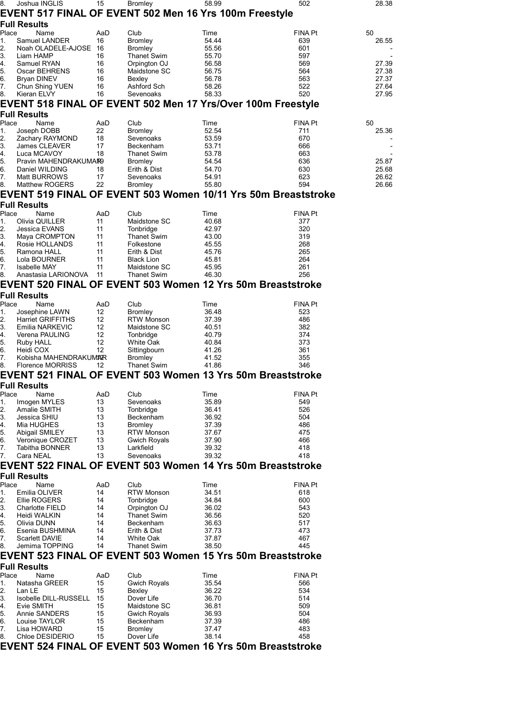| 8.       | Joshua INGLIS                  | 15       | <b>Bromley</b>                           | 58.99                                                         | 502            | 28.38 |
|----------|--------------------------------|----------|------------------------------------------|---------------------------------------------------------------|----------------|-------|
|          |                                |          |                                          | EVENT 517 FINAL OF EVENT 502 Men 16 Yrs 100m Freestyle        |                |       |
|          | <b>Full Results</b>            |          |                                          |                                                               |                |       |
| Place    | Name                           | AaD      | Club                                     | Time                                                          | FINA Pt        | 50    |
| 1.       | Samuel LANDER                  | 16       | <b>Bromley</b>                           | 54.44                                                         | 639            | 26.55 |
| 2.       | Noah OLADELE-AJOSE 16          |          | Bromley                                  | 55.56                                                         | 601            |       |
| 3.<br>4. | Liam HAMP<br>Samuel RYAN       | 16<br>16 | <b>Thanet Swim</b><br>Orpington OJ       | 55.70<br>56.58                                                | 597<br>569     | 27.39 |
| 5.       | Oscar BEHRENS                  | 16       | Maidstone SC                             | 56.75                                                         | 564            | 27.38 |
| 6.       | <b>Bryan DINEV</b>             | 16       | Bexley                                   | 56.78                                                         | 563            | 27.37 |
| 7.       | Chun Shing YUEN                | 16       | Ashford Sch                              | 58.26                                                         | 522            | 27.64 |
| 8.       | Kieran ELVY                    | 16       | Sevenoaks                                | 58.33                                                         | 520            | 27.95 |
|          |                                |          |                                          | EVENT 518 FINAL OF EVENT 502 Men 17 Yrs/Over 100m Freestyle   |                |       |
|          | <b>Full Results</b>            |          |                                          |                                                               |                |       |
| Place    | Name                           | AaD      | Club                                     | Time                                                          | FINA Pt        | 50    |
| 1.       | Joseph DOBB                    | 22       | <b>Bromley</b>                           | 52.54                                                         | 711            | 25.36 |
| 2.       | Zachary RAYMOND                | 18       | Sevenoaks                                | 53.59                                                         | 670            |       |
| 3.<br>4. | James CLEAVER<br>Luca MCAVOY   | 17<br>18 | Beckenham<br><b>Thanet Swim</b>          | 53.71<br>53.78                                                | 666<br>663     |       |
| 5.       | Pravin MAHENDRAKUMAR9          |          | <b>Bromley</b>                           | 54.54                                                         | 636            | 25.87 |
| 6.       | Daniel WILDING                 | 18       | Erith & Dist                             | 54.70                                                         | 630            | 25.68 |
| 7.       | Matt BURROWS                   | 17       | Sevenoaks                                | 54.91                                                         | 623            | 26.62 |
| 8.       | Matthew ROGERS                 | 22       | <b>Bromley</b>                           | 55.80                                                         | 594            | 26.66 |
|          |                                |          |                                          | EVENT 519 FINAL OF EVENT 503 Women 10/11 Yrs 50m Breaststroke |                |       |
|          | <b>Full Results</b>            |          |                                          |                                                               |                |       |
| Place    | Name                           | AaD      | Club                                     | Time                                                          | <b>FINA Pt</b> |       |
| 1.       | Olivia QUILLER                 | 11       | Maidstone SC                             | 40.68                                                         | 377            |       |
| 2.       | Jessica EVANS                  | 11       | Tonbridge                                | 42.97                                                         | 320            |       |
| 3.       | Maya CROMPTON                  | 11       | <b>Thanet Swim</b>                       | 43.00                                                         | 319            |       |
| 4.<br>5. | Rosie HOLLANDS<br>Ramona HALL  | 11<br>11 | Folkestone<br>Erith & Dist               | 45.55<br>45.76                                                | 268<br>265     |       |
| 6.       | Lola BOURNER                   | 11       | <b>Black Lion</b>                        | 45.81                                                         | 264            |       |
| 7.       | <b>Isabelle MAY</b>            | 11       | Maidstone SC                             | 45.95                                                         | 261            |       |
| 8.       | Anastasia LARIONOVA            | - 11     | <b>Thanet Swim</b>                       | 46.30                                                         | 256            |       |
|          |                                |          |                                          | EVENT 520 FINAL OF EVENT 503 Women 12 Yrs 50m Breaststroke    |                |       |
|          | <b>Full Results</b>            |          |                                          |                                                               |                |       |
| Place    | Name                           | AaD      | Club                                     | Time                                                          | <b>FINA Pt</b> |       |
| 1.       | Josephine LAWN                 | 12       | <b>Bromley</b>                           | 36.48                                                         | 523            |       |
| 2.       | <b>Harriet GRIFFITHS</b>       | 12       | <b>RTW Monson</b>                        | 37.39                                                         | 486            |       |
| 3.       | Emilia NARKEVIC                | 12       | Maidstone SC                             | 40.51                                                         | 382            |       |
| 4.<br>5. | Verena PAULING<br>Ruby HALL    | 12<br>12 | Tonbridge<br><b>White Oak</b>            | 40.79<br>40.84                                                | 374<br>373     |       |
| 6.       | Heidi COX                      | 12       | Sittingbourn                             | 41.26                                                         | 361            |       |
| 7.       | Kobisha MAHENDRAKUMAR          |          | <b>Bromley</b>                           | 41.52                                                         | 355            |       |
| 8.       | <b>Florence MORRISS</b>        | 12       | <b>Thanet Swim</b>                       | 41.86                                                         | 346            |       |
|          |                                |          |                                          | EVENT 521 FINAL OF EVENT 503 Women 13 Yrs 50m Breaststroke    |                |       |
|          | <b>Full Results</b>            |          |                                          |                                                               |                |       |
| Place    | Name                           | AaD      | Club                                     | Time                                                          | FINA Pt        |       |
| 1.       | Imogen MYLES                   | 13       | Sevenoaks                                | 35.89                                                         | 549            |       |
| 2.       | Amalie SMITH                   | 13       | Tonbridge                                | 36.41                                                         | 526            |       |
| 3.       | Jessica SHIU                   | 13       | Beckenham                                | 36.92                                                         | 504            |       |
| 4.       | Mia HUGHES<br>Abigail SMILEY   | 13       | <b>Bromley</b>                           | 37.39                                                         | 486<br>475     |       |
| 5.<br>6. | Veronique CROZET               | 13<br>13 | <b>RTW Monson</b><br><b>Gwich Royals</b> | 37.67<br>37.90                                                | 466            |       |
| 7.       | Tabitha BONNER                 | 13       | Larkfield                                | 39.32                                                         | 418            |       |
| 7.       | Cara NEAL                      | 13       | Sevenoaks                                | 39.32                                                         | 418            |       |
|          |                                |          |                                          | EVENT 522 FINAL OF EVENT 503 Women 14 Yrs 50m Breaststroke    |                |       |
|          | <b>Full Results</b>            |          |                                          |                                                               |                |       |
| Place    | Name                           | AaD      | Club                                     | Time                                                          | <b>FINA Pt</b> |       |
| 1.       | Emilia OLIVER                  | 14       | <b>RTW Monson</b>                        | 34.51                                                         | 618            |       |
| 2.       | Ellie ROGERS                   | 14       | Tonbridge                                | 34.84                                                         | 600            |       |
| 3.       | Charlotte FIELD                | 14       | Orpington OJ                             | 36.02                                                         | 543            |       |
| 4.       | Heidi WALKIN                   | 14       | <b>Thanet Swim</b>                       | 36.56                                                         | 520            |       |
| 5.<br>6. | Olivia DUNN<br>Esenia BUSHMINA | 14<br>14 | Beckenham<br>Erith & Dist                | 36.63<br>37.73                                                | 517<br>473     |       |
| 7.       | <b>Scarlett DAVIE</b>          | 14       | White Oak                                | 37.87                                                         | 467            |       |
| 8.       | Jemima TOPPING                 | 14       | <b>Thanet Swim</b>                       | 38.50                                                         | 445            |       |
|          |                                |          |                                          | EVENT 523 FINAL OF EVENT 503 Women 15 Yrs 50m Breaststroke    |                |       |
|          | <b>Full Results</b>            |          |                                          |                                                               |                |       |
| Place    | Name                           | AaD      | Club                                     | Time                                                          | FINA Pt        |       |
| 1.       | Natasha GREER                  | 15       | <b>Gwich Royals</b>                      | 35.54                                                         | 566            |       |
| 2.       | Lan LE                         | 15       | Bexley                                   | 36.22                                                         | 534            |       |
| 3.       | Isobelle DILL-RUSSELL          | 15       | Dover Life                               | 36.70                                                         | 514            |       |
| 4.       | Evie SMITH                     | 15       | Maidstone SC                             | 36.81                                                         | 509            |       |
| 5.       | Annie SANDERS                  | 15       | <b>Gwich Royals</b>                      | 36.93                                                         | 504            |       |
| 6.<br>7. | Louise TAYLOR<br>Lisa HOWARD   | 15<br>15 | Beckenham<br><b>Bromley</b>              | 37.39<br>37.47                                                | 486<br>483     |       |
| 8.       | Chloe DESIDERIO                | 15       | Dover Life                               | 38.14                                                         | 458            |       |
|          |                                |          |                                          | EVENT 524 FINAL OF EVENT 503 Women 16 Yrs 50m Breaststroke    |                |       |
|          |                                |          |                                          |                                                               |                |       |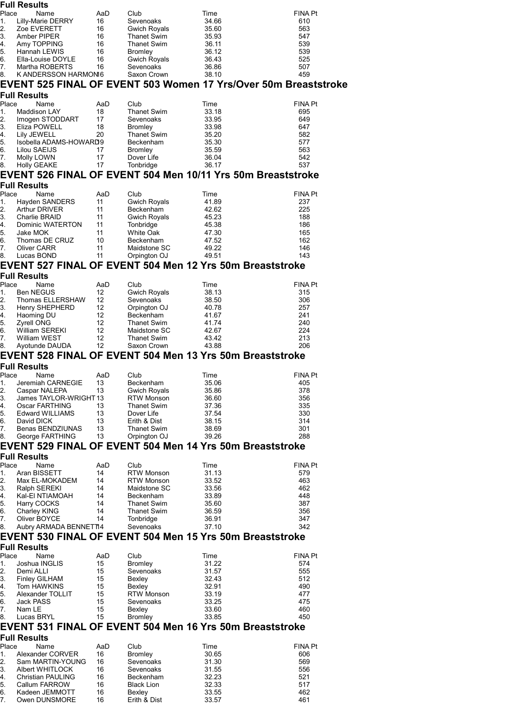|                                                                                                                                                                   | <b>Full Results</b>                         |           |                                          |                                                                 |                       |
|-------------------------------------------------------------------------------------------------------------------------------------------------------------------|---------------------------------------------|-----------|------------------------------------------|-----------------------------------------------------------------|-----------------------|
| Place                                                                                                                                                             | Name                                        | AaD       | Club                                     | Time                                                            | <b>FINA Pt</b>        |
| 1.<br>2.                                                                                                                                                          | Lilly-Marie DERRY<br>Zoe EVERETT            | 16<br>16  | Sevenoaks<br><b>Gwich Royals</b>         | 34.66<br>35.60                                                  | 610<br>563            |
| 3.                                                                                                                                                                | Amber PIPER                                 | 16        | Thanet Swim                              | 35.93                                                           | 547                   |
| 4.                                                                                                                                                                | Amy TOPPING                                 | 16        | <b>Thanet Swim</b>                       | 36.11                                                           | 539                   |
| 5.<br>6.                                                                                                                                                          | Hannah LEWIS                                | 16        | Bromley                                  | 36.12                                                           | 539                   |
| 7.                                                                                                                                                                | Ella-Louise DOYLE<br>Martha ROBERTS         | 16<br>16  | <b>Gwich Royals</b><br>Sevenoaks         | 36.43<br>36.86                                                  | 525<br>507            |
| 8.                                                                                                                                                                | K ANDERSSON HARMONI6                        |           | Saxon Crown                              | 38.10                                                           | 459                   |
|                                                                                                                                                                   |                                             |           |                                          | EVENT 525 FINAL OF EVENT 503 Women 17 Yrs/Over 50m Breaststroke |                       |
|                                                                                                                                                                   | <b>Full Results</b>                         |           |                                          |                                                                 |                       |
| Place                                                                                                                                                             | Name                                        | AaD       | Club                                     | Time                                                            | FINA Pt               |
| 1.                                                                                                                                                                | Maddison LAY                                | 18        | <b>Thanet Swim</b>                       | 33.18                                                           | 695                   |
| 2.<br>3.                                                                                                                                                          | Imogen STODDART<br>Eliza POWELL             | 17<br>18  | Sevenoaks<br><b>Bromley</b>              | 33.95<br>33.98                                                  | 649<br>647            |
| 4.                                                                                                                                                                | Lily JEWELL                                 | 20        | <b>Thanet Swim</b>                       | 35.20                                                           | 582                   |
| 5.                                                                                                                                                                | Isobella ADAMS-HOWARD9                      |           | <b>Beckenham</b>                         | 35.30                                                           | 577                   |
| 6.<br>7.                                                                                                                                                          | Lilou SAEIJS<br>Molly LOWN                  | 17<br>17  | <b>Bromley</b><br>Dover Life             | 35.59<br>36.04                                                  | 563<br>542            |
| 8.                                                                                                                                                                | <b>Holly GEAKE</b>                          | 17        | Tonbridge                                | 36.17                                                           | 537                   |
|                                                                                                                                                                   |                                             |           |                                          | EVENT 526 FINAL OF EVENT 504 Men 10/11 Yrs 50m Breaststroke     |                       |
|                                                                                                                                                                   | <b>Full Results</b>                         |           |                                          |                                                                 |                       |
| Place                                                                                                                                                             | Name                                        | AaD       | Club                                     | Time                                                            | FINA Pt               |
| 1.                                                                                                                                                                | Hayden SANDERS                              | 11        | <b>Gwich Royals</b>                      | 41.89                                                           | 237                   |
| 2.<br>3.                                                                                                                                                          | Arthur DRIVER<br>Charlie BRAID              | 11<br>11  | Beckenham<br><b>Gwich Royals</b>         | 42.62<br>45.23                                                  | 225<br>188            |
| 4.                                                                                                                                                                | Dominic WATERTON                            | 11        | Tonbridge                                | 45.38                                                           | 186                   |
| 5.                                                                                                                                                                | Jake MOK                                    | 11        | White Oak                                | 47.30                                                           | 165                   |
| 6.<br>7.                                                                                                                                                          | Thomas DE CRUZ<br>Oliver CARR               | 10<br>11  | Beckenham<br>Maidstone SC                | 47.52<br>49.22                                                  | 162<br>146            |
| 8.                                                                                                                                                                | Lucas BOND                                  | 11        | Orpington OJ                             | 49.51                                                           | 143                   |
|                                                                                                                                                                   |                                             |           |                                          | EVENT 527 FINAL OF EVENT 504 Men 12 Yrs 50m Breaststroke        |                       |
|                                                                                                                                                                   | <b>Full Results</b>                         |           |                                          |                                                                 |                       |
| Place                                                                                                                                                             | Name                                        | AaD       | Club                                     | Time                                                            | <b>FINA Pt</b>        |
| 1.<br>2.                                                                                                                                                          | Ben NEGUS<br>Thomas ELLERSHAW               | 12<br>12  | Gwich Royals<br>Sevenoaks                | 38.13<br>38.50                                                  | 315<br>306            |
| 3.                                                                                                                                                                | Henry SHEPHERD                              | 12        | Orpington OJ                             | 40.78                                                           | 257                   |
| 4.                                                                                                                                                                | Haoming DU                                  | 12        | Beckenham                                | 41.67                                                           | 241                   |
| 5.<br>6.                                                                                                                                                          | <b>Zyrell ONG</b><br>William SEREKI         | 12<br>12  | <b>Thanet Swim</b><br>Maidstone SC       | 41.74<br>42.67                                                  | 240<br>224            |
| 7.                                                                                                                                                                | William WEST                                | 12        | <b>Thanet Swim</b>                       | 43.42                                                           | 213                   |
| 8.                                                                                                                                                                | Ayotunde DAUDA                              | 12        | Saxon Crown                              | 43.88                                                           | 206                   |
|                                                                                                                                                                   |                                             |           |                                          | EVENT 528 FINAL OF EVENT 504 Men 13 Yrs 50m Breaststroke        |                       |
|                                                                                                                                                                   | <b>Full Results</b>                         |           |                                          |                                                                 |                       |
| Place<br>1.                                                                                                                                                       | Name<br>Jeremiah CARNEGIE                   | AaD<br>13 | Club<br>Beckenham                        | Time<br>35.06                                                   | <b>FINA Pt</b><br>405 |
| 2.                                                                                                                                                                | Caspar NALEPA                               | 13        | Gwich Royals                             | 35.86                                                           | 378                   |
| 3.                                                                                                                                                                | James TAYLOR-WRIGHT 13                      |           | <b>RTW Monson</b>                        | 36.60                                                           | 356                   |
| 4.<br>5.                                                                                                                                                          | Oscar FARTHING                              | 13        | <b>Thanet Swim</b>                       | 37.36                                                           | 335                   |
|                                                                                                                                                                   |                                             |           |                                          |                                                                 |                       |
|                                                                                                                                                                   | Edward WILLIAMS                             | 13        | Dover Life                               | 37.54                                                           | 330                   |
|                                                                                                                                                                   | David DICK<br>Benas BENDZIUNAS              | 13<br>13  | Erith & Dist<br><b>Thanet Swim</b>       | 38.15<br>38.69                                                  | 314<br>301            |
|                                                                                                                                                                   | George FARTHING                             | 13        | Orpington OJ                             | 39.26                                                           | 288                   |
| 6.<br>7.<br>8.                                                                                                                                                    |                                             |           |                                          | EVENT 529 FINAL OF EVENT 504 Men 14 Yrs 50m Breaststroke        |                       |
|                                                                                                                                                                   | <b>Full Results</b>                         |           |                                          |                                                                 |                       |
|                                                                                                                                                                   | Name<br>Aran BISSETT                        | AaD<br>14 | Club<br><b>RTW Monson</b>                | Time                                                            | <b>FINA Pt</b>        |
|                                                                                                                                                                   | Max EL-MOKADEM                              | 14        | <b>RTW Monson</b>                        | 31.13<br>33.52                                                  | 579<br>463            |
|                                                                                                                                                                   | Ralph SEREKI                                | 14        | Maidstone SC                             | 33.56                                                           | 462                   |
|                                                                                                                                                                   | Kal-EI NTIAMOAH                             | 14        | Beckenham                                | 33.89                                                           | 448                   |
|                                                                                                                                                                   | Harry COCKS<br>Charley KING                 | 14<br>14  | <b>Thanet Swim</b><br><b>Thanet Swim</b> | 35.60<br>36.59                                                  | 387<br>356            |
|                                                                                                                                                                   | Oliver BOYCE                                | 14        | Tonbridge                                | 36.91                                                           | 347                   |
|                                                                                                                                                                   | Aubry ARMADA BENNET14                       |           | Sevenoaks                                | 37.10                                                           | 342                   |
|                                                                                                                                                                   |                                             |           |                                          | EVENT 530 FINAL OF EVENT 504 Men 15 Yrs 50m Breaststroke        |                       |
|                                                                                                                                                                   | <b>Full Results</b><br>Name                 |           |                                          |                                                                 |                       |
|                                                                                                                                                                   | Joshua INGLIS                               | AaD<br>15 | Club<br><b>Bromley</b>                   | Time<br>31.22                                                   | FINA Pt<br>574        |
|                                                                                                                                                                   | Demi ALLI                                   | 15        | Sevenoaks                                | 31.57                                                           | 555                   |
|                                                                                                                                                                   | Finley GILHAM                               | 15        | Bexley                                   | 32.43                                                           | 512                   |
|                                                                                                                                                                   | Tom HAWKINS<br>Alexander TOLLIT             | 15<br>15  | Bexley<br><b>RTW Monson</b>              | 32.91<br>33.19                                                  | 490<br>477            |
|                                                                                                                                                                   | Jack PASS                                   | 15        | Sevenoaks                                | 33.25                                                           | 475                   |
|                                                                                                                                                                   | Nam LE                                      | 15        | Bexley                                   | 33.60                                                           | 460                   |
|                                                                                                                                                                   | Lucas BRYL                                  | 15        | <b>Bromley</b>                           | 33.85                                                           | 450                   |
|                                                                                                                                                                   |                                             |           |                                          | EVENT 531 FINAL OF EVENT 504 Men 16 Yrs 50m Breaststroke        |                       |
|                                                                                                                                                                   | <b>Full Results</b><br>Name                 | AaD       | Club                                     | Time                                                            | <b>FINA Pt</b>        |
|                                                                                                                                                                   | Alexander CORVER                            | 16        | <b>Bromley</b>                           | 30.65                                                           | 606                   |
|                                                                                                                                                                   | Sam MARTIN-YOUNG                            | 16        | Sevenoaks                                | 31.30                                                           | 569                   |
|                                                                                                                                                                   | Albert WHITLOCK<br><b>Christian PAULING</b> | 16<br>16  | Sevenoaks<br>Beckenham                   | 31.55<br>32.23                                                  | 556<br>521            |
|                                                                                                                                                                   | Callum FARROW                               | 16        | <b>Black Lion</b>                        | 32.33                                                           | 517                   |
| Place<br>1.<br>2.<br>3.<br>4.<br>5.<br>6.<br>7.<br>8.<br>Place<br>1.<br>2.<br>3.<br>4.<br>5.<br>6.<br>7.<br>8.<br>Place<br>1.<br>2.<br>3.<br>4.<br>5.<br>6.<br>7. | Kadeen JEMMOTT<br>Owen DUNSMORE             | 16<br>16  | Bexley<br>Erith & Dist                   | 33.55<br>33.57                                                  | 462<br>461            |